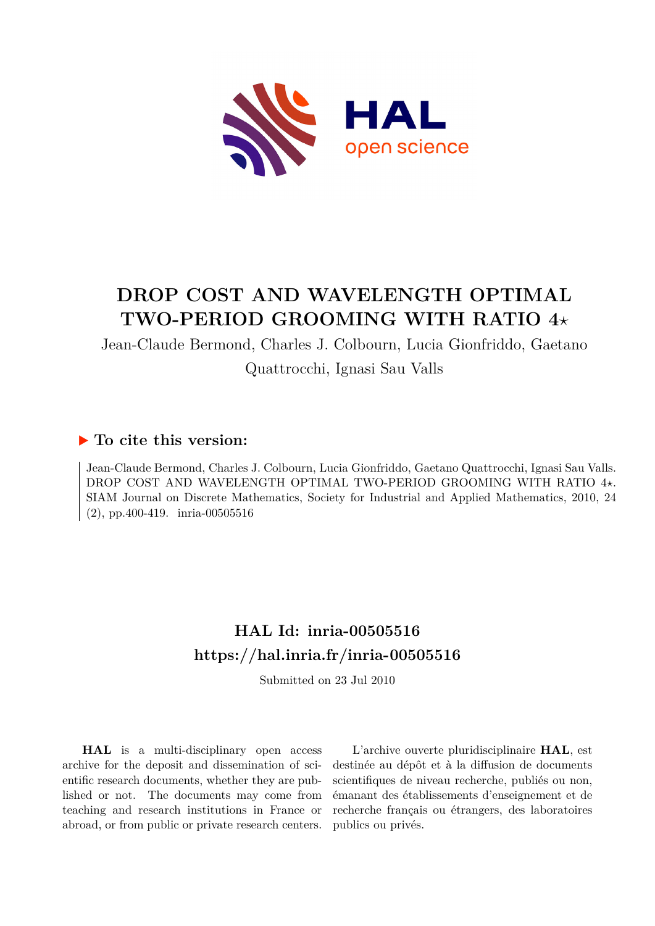

# **DROP COST AND WAVELENGTH OPTIMAL TWO-PERIOD GROOMING WITH RATIO 4***⋆*

Jean-Claude Bermond, Charles J. Colbourn, Lucia Gionfriddo, Gaetano Quattrocchi, Ignasi Sau Valls

# **To cite this version:**

Jean-Claude Bermond, Charles J. Colbourn, Lucia Gionfriddo, Gaetano Quattrocchi, Ignasi Sau Valls. DROP COST AND WAVELENGTH OPTIMAL TWO-PERIOD GROOMING WITH RATIO 4*⋆*. SIAM Journal on Discrete Mathematics, Society for Industrial and Applied Mathematics, 2010, 24  $(2)$ , pp. 400-419. inria-00505516

# **HAL Id: inria-00505516 <https://hal.inria.fr/inria-00505516>**

Submitted on 23 Jul 2010

**HAL** is a multi-disciplinary open access archive for the deposit and dissemination of scientific research documents, whether they are published or not. The documents may come from teaching and research institutions in France or abroad, or from public or private research centers.

L'archive ouverte pluridisciplinaire **HAL**, est destinée au dépôt et à la diffusion de documents scientifiques de niveau recherche, publiés ou non, émanant des établissements d'enseignement et de recherche français ou étrangers, des laboratoires publics ou privés.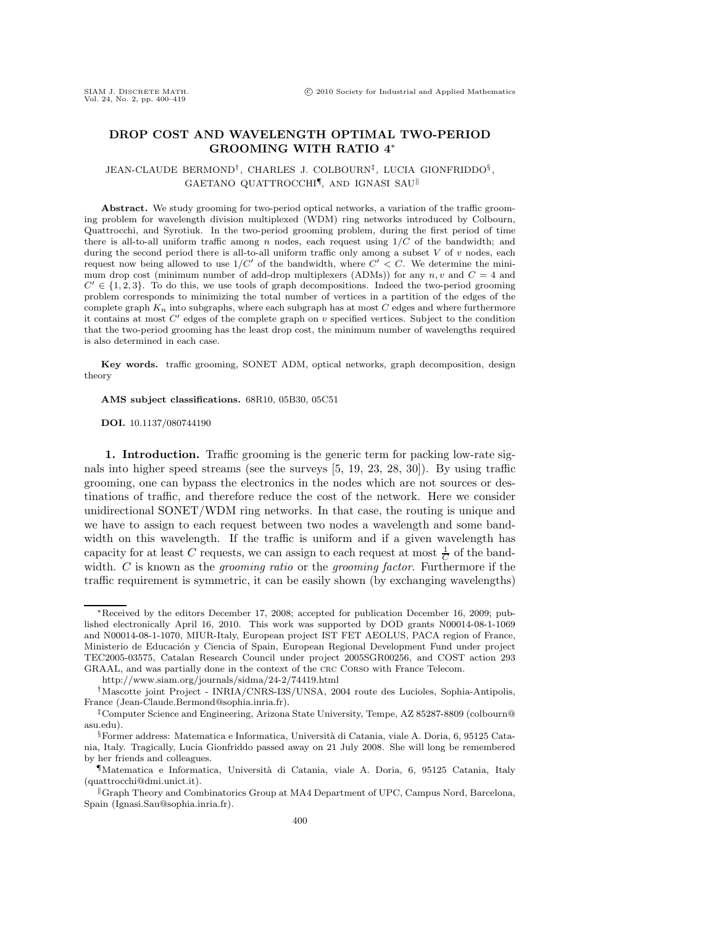## DROP COST AND WAVELENGTH OPTIMAL TWO-PERIOD GROOMING WITH RATIO 4∗

### JEAN-CLAUDE BERMOND†, CHARLES J. COLBOURN‡, LUCIA GIONFRIDDO§ , GAETANO QUATTROCCHI¶, AND IGNASI SAU!

Abstract. We study grooming for two-period optical networks, a variation of the traffic grooming problem for wavelength division multiplexed (WDM) ring networks introduced by Colbourn, Quattrocchi, and Syrotiuk. In the two-period grooming problem, during the first period of time there is all-to-all uniform traffic among  $n$  nodes, each request using  $1/C$  of the bandwidth; and during the second period there is all-to-all uniform traffic only among a subset  $V$  of  $v$  nodes, each request now being allowed to use  $1/C'$  of the bandwidth, where  $C' < C$ . We determine the minimum drop cost (minimum number of add-drop multiplexers (ADMs)) for any  $n, v$  and  $C = 4$  and  $C' \in \{1, 2, 3\}$ . To do this, we use tools of graph decompositions. Indeed the two-period grooming problem corresponds to minimizing the total number of vertices in a partition of the edges of the complete graph  $K_n$  into subgraphs, where each subgraph has at most  $C$  edges and where furthermore it contains at most  $C'$  edges of the complete graph on  $v$  specified vertices. Subject to the condition that the two-period grooming has the least drop cost, the minimum number of wavelengths required is also determined in each case.

Key words. traffic grooming, SONET ADM, optical networks, graph decomposition, design theory

AMS subject classifications. 68R10, 05B30, 05C51

DOI. 10.1137/080744190

1. Introduction. Traffic grooming is the generic term for packing low-rate signals into higher speed streams (see the surveys [5, 19, 23, 28, 30]). By using traffic grooming, one can bypass the electronics in the nodes which are not sources or destinations of traffic, and therefore reduce the cost of the network. Here we consider unidirectional SONET/WDM ring networks. In that case, the routing is unique and we have to assign to each request between two nodes a wavelength and some bandwidth on this wavelength. If the traffic is uniform and if a given wavelength has capacity for at least C requests, we can assign to each request at most  $\frac{1}{C}$  of the bandwidth. C is known as the *grooming ratio* or the *grooming factor*. Furthermore if the traffic requirement is symmetric, it can be easily shown (by exchanging wavelengths)

<sup>∗</sup>Received by the editors December 17, 2008; accepted for publication December 16, 2009; published electronically April 16, 2010. This work was supported by DOD grants N00014-08-1-1069 and N00014-08-1-1070, MIUR-Italy, European project IST FET AEOLUS, PACA region of France, Ministerio de Educación y Ciencia of Spain, European Regional Development Fund under project TEC2005-03575, Catalan Research Council under project 2005SGR00256, and COST action 293 GRAAL, and was partially done in the context of the crc Corso with France Telecom.

http://www.siam.org/journals/sidma/24-2/74419.html

<sup>†</sup>Mascotte joint Project - INRIA/CNRS-I3S/UNSA, 2004 route des Lucioles, Sophia-Antipolis, France (Jean-Claude.Bermond@sophia.inria.fr).

<sup>‡</sup>Computer Science and Engineering, Arizona State University, Tempe, AZ 85287-8809 (colbourn@ asu.edu).

 $\S$ Former address: Matematica e Informatica, Università di Catania, viale A. Doria, 6, 95125 Catania, Italy. Tragically, Lucia Gionfriddo passed away on 21 July 2008. She will long be remembered by her friends and colleagues.

<sup>¶</sup>Matematica e Informatica, Universit`a di Catania, viale A. Doria, 6, 95125 Catania, Italy (quattrocchi@dmi.unict.it).

<sup>!</sup>Graph Theory and Combinatorics Group at MA4 Department of UPC, Campus Nord, Barcelona, Spain (Ignasi.Sau@sophia.inria.fr).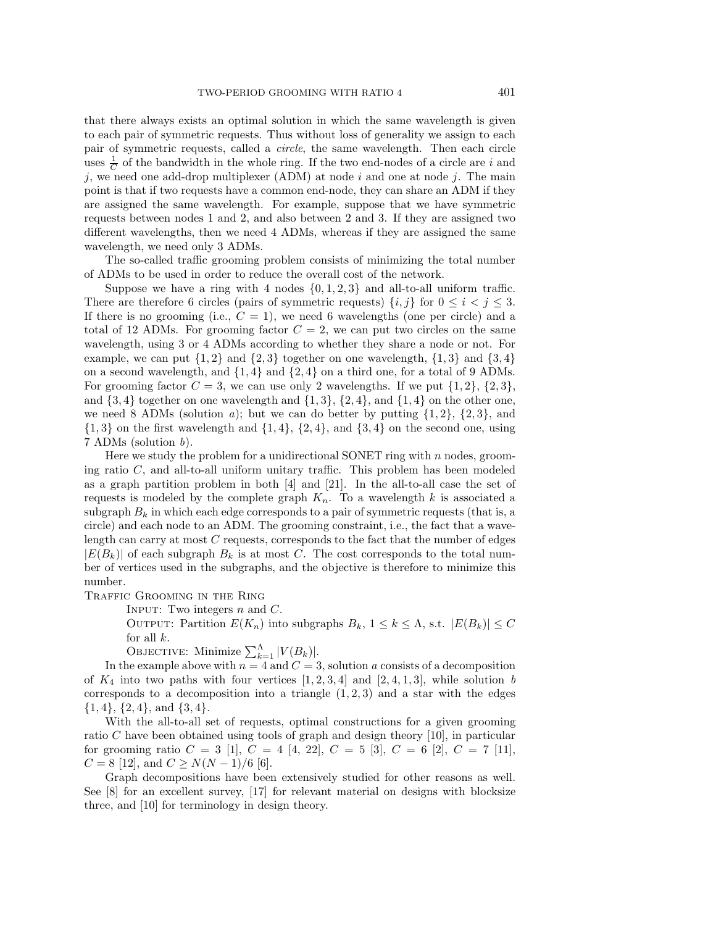that there always exists an optimal solution in which the same wavelength is given to each pair of symmetric requests. Thus without loss of generality we assign to each pair of symmetric requests, called a *circle*, the same wavelength. Then each circle uses  $\frac{1}{C}$  of the bandwidth in the whole ring. If the two end-nodes of a circle are i and j, we need one add-drop multiplexer (ADM) at node  $i$  and one at node j. The main point is that if two requests have a common end-node, they can share an ADM if they are assigned the same wavelength. For example, suppose that we have symmetric requests between nodes 1 and 2, and also between 2 and 3. If they are assigned two different wavelengths, then we need 4 ADMs, whereas if they are assigned the same wavelength, we need only 3 ADMs.

The so-called traffic grooming problem consists of minimizing the total number of ADMs to be used in order to reduce the overall cost of the network.

Suppose we have a ring with 4 nodes  $\{0, 1, 2, 3\}$  and all-to-all uniform traffic. There are therefore 6 circles (pairs of symmetric requests)  $\{i, j\}$  for  $0 \leq i < j \leq 3$ . If there is no grooming (i.e.,  $C = 1$ ), we need 6 wavelengths (one per circle) and a total of 12 ADMs. For grooming factor  $C = 2$ , we can put two circles on the same wavelength, using 3 or 4 ADMs according to whether they share a node or not. For example, we can put  $\{1, 2\}$  and  $\{2, 3\}$  together on one wavelength,  $\{1, 3\}$  and  $\{3, 4\}$ on a second wavelength, and  $\{1,4\}$  and  $\{2,4\}$  on a third one, for a total of 9 ADMs. For grooming factor  $C = 3$ , we can use only 2 wavelengths. If we put  $\{1,2\}, \{2,3\}$ , and  $\{3,4\}$  together on one wavelength and  $\{1,3\}$ ,  $\{2,4\}$ , and  $\{1,4\}$  on the other one, we need 8 ADMs (solution a); but we can do better by putting  $\{1,2\}$ ,  $\{2,3\}$ , and  $\{1,3\}$  on the first wavelength and  $\{1,4\}$ ,  $\{2,4\}$ , and  $\{3,4\}$  on the second one, using 7 ADMs (solution b).

Here we study the problem for a unidirectional SONET ring with  $n$  nodes, grooming ratio  $C$ , and all-to-all uniform unitary traffic. This problem has been modeled as a graph partition problem in both [4] and [21]. In the all-to-all case the set of requests is modeled by the complete graph  $K_n$ . To a wavelength k is associated a subgraph  $B_k$  in which each edge corresponds to a pair of symmetric requests (that is, a circle) and each node to an ADM. The grooming constraint, i.e., the fact that a wavelength can carry at most  $C$  requests, corresponds to the fact that the number of edges  $|E(B_k)|$  of each subgraph  $B_k$  is at most C. The cost corresponds to the total number of vertices used in the subgraphs, and the objective is therefore to minimize this number.

Traffic Grooming in the Ring

INPUT: Two integers  $n$  and  $C$ .

OUTPUT: Partition  $E(K_n)$  into subgraphs  $B_k$ ,  $1 \leq k \leq \Lambda$ , s.t.  $|E(B_k)| \leq C$ for all  $k$ .

OBJECTIVE: Minimize  $\sum_{k=1}^{A} |V(B_k)|$ .

In the example above with  $n = 4$  and  $C = 3$ , solution a consists of a decomposition of  $K_4$  into two paths with four vertices  $[1, 2, 3, 4]$  and  $[2, 4, 1, 3]$ , while solution b corresponds to a decomposition into a triangle  $(1, 2, 3)$  and a star with the edges  $\{1,4\}, \{2,4\}, \text{and } \{3,4\}.$ 

With the all-to-all set of requests, optimal constructions for a given grooming ratio C have been obtained using tools of graph and design theory [10], in particular for grooming ratio  $C = 3$  [1],  $C = 4$  [4, 22],  $C = 5$  [3],  $C = 6$  [2],  $C = 7$  [11],  $C = 8$  [12], and  $C \ge N(N-1)/6$  [6].

Graph decompositions have been extensively studied for other reasons as well. See [8] for an excellent survey, [17] for relevant material on designs with blocksize three, and [10] for terminology in design theory.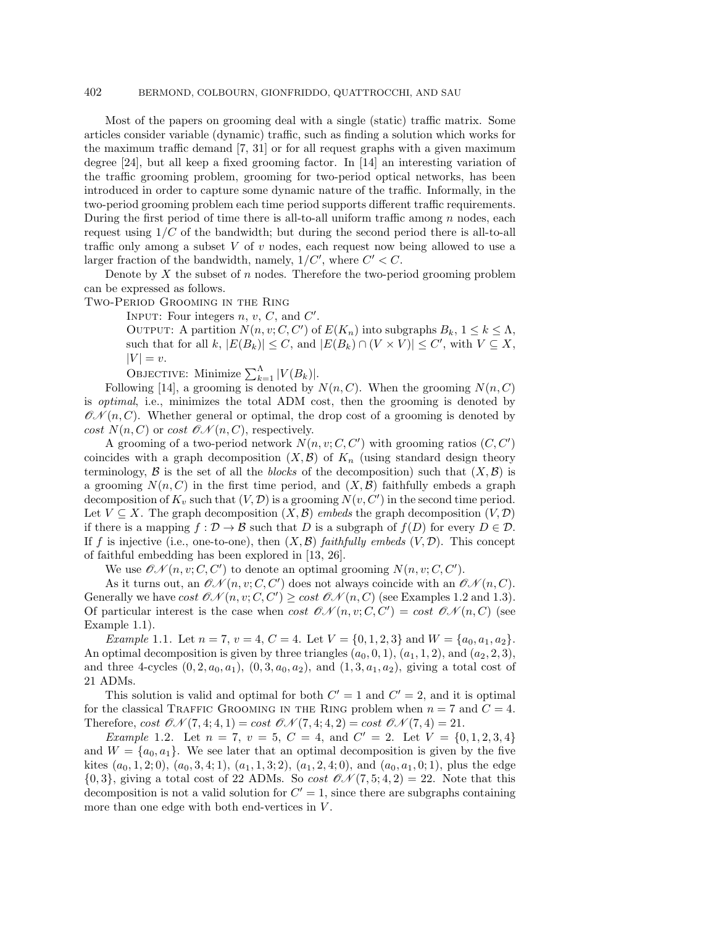### 402 BERMOND, COLBOURN, GIONFRIDDO, QUATTROCCHI, AND SAU

Most of the papers on grooming deal with a single (static) traffic matrix. Some articles consider variable (dynamic) traffic, such as finding a solution which works for the maximum traffic demand [7, 31] or for all request graphs with a given maximum degree [24], but all keep a fixed grooming factor. In [14] an interesting variation of the traffic grooming problem, grooming for two-period optical networks, has been introduced in order to capture some dynamic nature of the traffic. Informally, in the two-period grooming problem each time period supports different traffic requirements. During the first period of time there is all-to-all uniform traffic among  $n$  nodes, each request using  $1/C$  of the bandwidth; but during the second period there is all-to-all traffic only among a subset  $V$  of  $v$  nodes, each request now being allowed to use a larger fraction of the bandwidth, namely,  $1/C'$ , where  $C' < C$ .

Denote by X the subset of n nodes. Therefore the two-period grooming problem can be expressed as follows.

Two-Period Grooming in the Ring

INPUT: Four integers  $n, v, C$ , and  $C'$ .

OUTPUT: A partition  $N(n, v; C, C')$  of  $E(K_n)$  into subgraphs  $B_k$ ,  $1 \leq k \leq \Lambda$ , such that for all k,  $|E(B_k)| \leq C$ , and  $|E(B_k) \cap (V \times V)| \leq C'$ , with  $V \subseteq X$ ,  $|V| = v.$ 

OBJECTIVE: Minimize  $\sum_{k=1}^{A} |V(B_k)|$ .

Following [14], a grooming is denoted by  $N(n, C)$ . When the grooming  $N(n, C)$ is optimal, i.e., minimizes the total ADM cost, then the grooming is denoted by  $\mathcal{O}(\mathcal{N}(n, C))$ . Whether general or optimal, the drop cost of a grooming is denoted by cost  $N(n, C)$  or cost  $\mathcal{O} \mathcal{N}(n, C)$ , respectively.

A grooming of a two-period network  $N(n, v; C, C')$  with grooming ratios  $(C, C')$ coincides with a graph decomposition  $(X, \mathcal{B})$  of  $K_n$  (using standard design theory terminology,  $\mathcal B$  is the set of all the blocks of the decomposition) such that  $(X,\mathcal B)$  is a grooming  $N(n, C)$  in the first time period, and  $(X, \mathcal{B})$  faithfully embeds a graph decomposition of  $K_v$  such that  $(V, D)$  is a grooming  $N(v, C')$  in the second time period. Let  $V \subseteq X$ . The graph decomposition  $(X, \mathcal{B})$  embeds the graph decomposition  $(V, \mathcal{D})$ if there is a mapping  $f : \mathcal{D} \to \mathcal{B}$  such that D is a subgraph of  $f(D)$  for every  $D \in \mathcal{D}$ . If f is injective (i.e., one-to-one), then  $(X, \mathcal{B})$  faithfully embeds  $(V, \mathcal{D})$ . This concept of faithful embedding has been explored in [13, 26].

We use  $\mathcal{ON}(n, v; C, C')$  to denote an optimal grooming  $N(n, v; C, C')$ .

As it turns out, an  $\mathcal{ON}(n, v; C, C')$  does not always coincide with an  $\mathcal{ON}(n, C)$ . Generally we have cost  $\mathcal{ON}(n, v; C, C') \geq \cos t \mathcal{ON}(n, C)$  (see Examples 1.2 and 1.3). Of particular interest is the case when cost  $\mathcal{ON}(n, v; C, C') = \text{cost } \mathcal{ON}(n, C)$  (see Example 1.1).

Example 1.1. Let  $n = 7$ ,  $v = 4$ ,  $C = 4$ . Let  $V = \{0, 1, 2, 3\}$  and  $W = \{a_0, a_1, a_2\}$ . An optimal decomposition is given by three triangles  $(a_0, 0, 1), (a_1, 1, 2),$  and  $(a_2, 2, 3),$ and three 4-cycles  $(0, 2, a_0, a_1)$ ,  $(0, 3, a_0, a_2)$ , and  $(1, 3, a_1, a_2)$ , giving a total cost of 21 ADMs.

This solution is valid and optimal for both  $C' = 1$  and  $C' = 2$ , and it is optimal for the classical TRAFFIC GROOMING IN THE RING problem when  $n = 7$  and  $C = 4$ . Therefore, cost  $\mathcal{ON}(7, 4; 4, 1) = \text{cost } \mathcal{ON}(7, 4; 4, 2) = \text{cost } \mathcal{ON}(7, 4) = 21.$ 

*Example* 1.2. Let  $n = 7$ ,  $v = 5$ ,  $C = 4$ , and  $C' = 2$ . Let  $V = \{0, 1, 2, 3, 4\}$ and  $W = \{a_0, a_1\}$ . We see later that an optimal decomposition is given by the five kites  $(a_0, 1, 2; 0), (a_0, 3, 4; 1), (a_1, 1, 3; 2), (a_1, 2, 4; 0),$  and  $(a_0, a_1, 0; 1),$  plus the edge  ${0, 3}$ , giving a total cost of 22 ADMs. So cost  $\mathcal{ON}(7, 5; 4, 2) = 22$ . Note that this decomposition is not a valid solution for  $C' = 1$ , since there are subgraphs containing more than one edge with both end-vertices in  $\cal V.$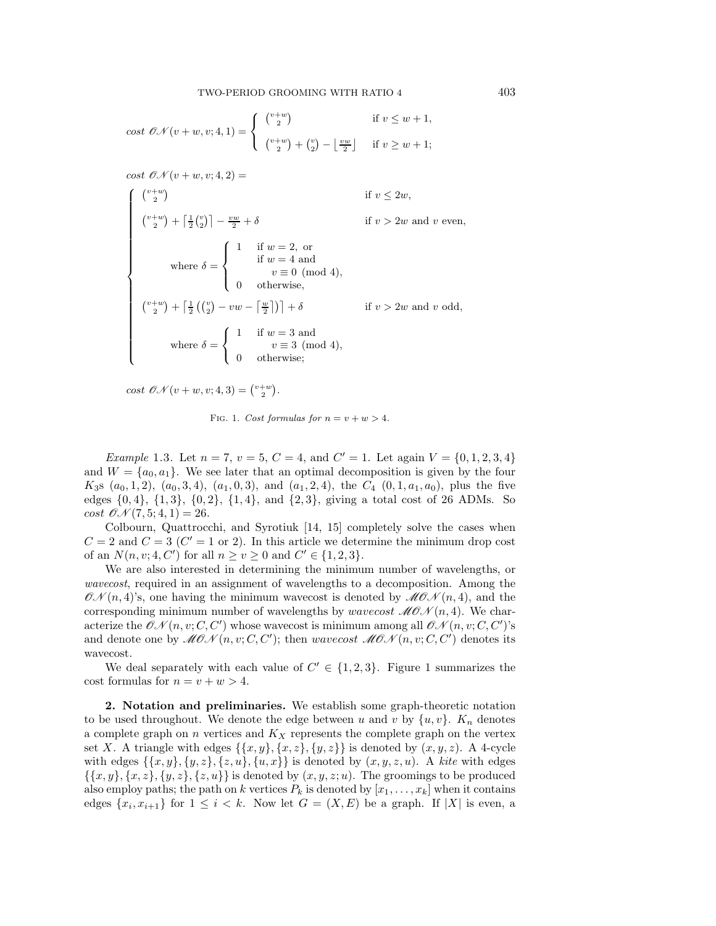$$
\text{cost } \mathcal{ON}(v+w, v; 4, 1) = \begin{cases} \begin{array}{c} {v+w} \\ {2} \end{array} & \text{if } v \le w+1, \\ \begin{array}{c} {v+w} \\ {v+v} \end{array} + \begin{array}{c} {v} \\ {2} \end{array} - \begin{array}{c} \lfloor \frac{vw}{2} \rfloor & \text{if } v \ge w+1; \end{array}
$$

 $cost \mathcal{ON}(v+w,v;4,2) =$ 

$$
\begin{cases}\n\binom{v+w}{2} & \text{if } v \le 2w, \\
\binom{v+w}{2} + \left\lceil \frac{1}{2} \binom{v}{2} \right\rceil - \frac{vw}{2} + \delta & \text{if } v > 2w \text{ and } v \text{ even,} \\
& \text{where } \delta = \begin{cases}\n1 & \text{if } w = 2, \text{ or} \\
& \text{if } w = 4 \text{ and} \\
& v \equiv 0 \pmod{4}, \\
0 & \text{otherwise,} \\
& \binom{v+w}{2} + \left\lceil \frac{1}{2} \binom{v}{2} - vw - \left\lceil \frac{w}{2} \right\rceil \right\rceil + \delta & \text{if } v > 2w \text{ and } v \text{ odd,} \\
& \text{where } \delta = \begin{cases}\n1 & \text{if } w = 3 \text{ and} \\
& v \equiv 3 \pmod{4}, \\
& 0 & \text{otherwise,} \\
& 0 & \text{otherwise,} \n\end{cases}\n\end{cases}
$$

 $cost \mathcal{ON}(v+w,v;4,3) = \binom{v+w}{2}.$ 

FIG. 1. Cost formulas for  $n = v + w > 4$ .

*Example* 1.3. Let  $n = 7$ ,  $v = 5$ ,  $C = 4$ , and  $C' = 1$ . Let again  $V = \{0, 1, 2, 3, 4\}$ and  $W = \{a_0, a_1\}$ . We see later that an optimal decomposition is given by the four  $K_3$ s  $(a_0, 1, 2), (a_0, 3, 4), (a_1, 0, 3),$  and  $(a_1, 2, 4),$  the  $C_4$   $(0, 1, a_1, a_0),$  plus the five edges  $\{0, 4\}$ ,  $\{1, 3\}$ ,  $\{0, 2\}$ ,  $\{1, 4\}$ , and  $\{2, 3\}$ , giving a total cost of 26 ADMs. So cost  $\mathcal{O}N(7, 5; 4, 1) = 26$ .

Colbourn, Quattrocchi, and Syrotiuk [14, 15] completely solve the cases when  $C = 2$  and  $C = 3$  ( $C' = 1$  or 2). In this article we determine the minimum drop cost of an  $N(n, v; 4, C')$  for all  $n \ge v \ge 0$  and  $C' \in \{1, 2, 3\}.$ 

We are also interested in determining the minimum number of wavelengths, or wavecost, required in an assignment of wavelengths to a decomposition. Among the  $\mathcal{ON}(n, 4)$ 's, one having the minimum wavecost is denoted by  $\mathcal{MON}(n, 4)$ , and the corresponding minimum number of wavelengths by *wavecost*  $MO\mathcal{N}(n, 4)$ . We characterize the  $\mathcal{ON}(n, v; C, C')$  whose wavecost is minimum among all  $\mathcal{ON}(n, v; C, C')$ 's and denote one by  $\mathscr{MOM}(n, v; C, C');$  then wavecost  $\mathscr{MOM}(n, v; C, C')$  denotes its wavecost.

We deal separately with each value of  $C' \in \{1, 2, 3\}$ . Figure 1 summarizes the cost formulas for  $n = v + w > 4$ .

2. Notation and preliminaries. We establish some graph-theoretic notation to be used throughout. We denote the edge between u and v by  $\{u, v\}$ .  $K_n$  denotes a complete graph on  $n$  vertices and  $K_X$  represents the complete graph on the vertex set X. A triangle with edges  $\{\{x, y\}, \{x, z\}, \{y, z\}\}\$ is denoted by  $(x, y, z)$ . A 4-cycle with edges  $\{\{x, y\}, \{y, z\}, \{z, u\}, \{u, x\}\}\$ is denoted by  $(x, y, z, u)$ . A kite with edges  $\{\{x, y\}, \{x, z\}, \{y, z\}, \{z, u\}\}\$ is denoted by  $(x, y, z; u)$ . The groomings to be produced also employ paths; the path on k vertices  $P_k$  is denoted by  $[x_1, \ldots, x_k]$  when it contains edges  $\{x_i, x_{i+1}\}\$ for  $1 \leq i \leq k$ . Now let  $G = (X, E)$  be a graph. If  $|X|$  is even, a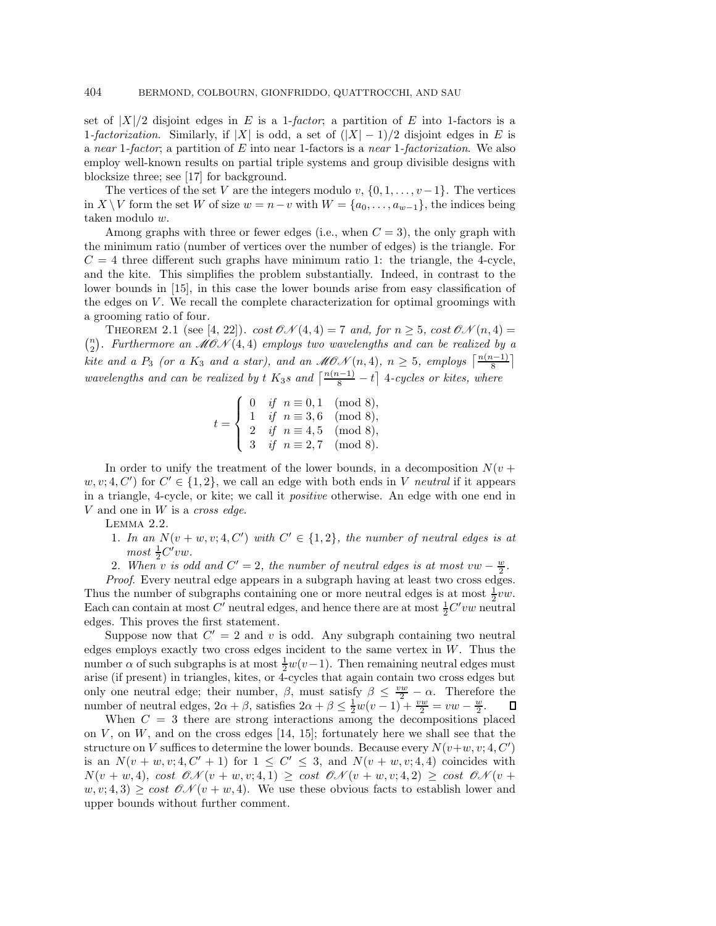set of  $|X|/2$  disjoint edges in E is a 1-factor; a partition of E into 1-factors is a 1-factorization. Similarly, if |X| is odd, a set of  $(|X| - 1)/2$  disjoint edges in E is a near 1-factor; a partition of  $E$  into near 1-factors is a near 1-factorization. We also employ well-known results on partial triple systems and group divisible designs with blocksize three; see [17] for background.

The vertices of the set V are the integers modulo v,  $\{0, 1, \ldots, v-1\}$ . The vertices in X \ V form the set W of size  $w = n - v$  with  $W = \{a_0, \ldots, a_{w-1}\}\)$ , the indices being taken modulo w.

Among graphs with three or fewer edges (i.e., when  $C = 3$ ), the only graph with the minimum ratio (number of vertices over the number of edges) is the triangle. For  $C = 4$  three different such graphs have minimum ratio 1: the triangle, the 4-cycle, and the kite. This simplifies the problem substantially. Indeed, in contrast to the lower bounds in [15], in this case the lower bounds arise from easy classification of the edges on  $V$ . We recall the complete characterization for optimal groomings with a grooming ratio of four.

THEOREM 2.1 (see [4, 22]). cost  $\mathcal{ON}(4, 4) = 7$  and, for  $n \geq 5$ , cost  $\mathcal{ON}(n, 4) =$  $\binom{n}{2}$ . Furthermore an  $\widehat{\mathcal{MO}}\mathcal{N}(4,4)$  employs two wavelengths and can be realized by a kite and a  $P_3$  (or a  $K_3$  and a star), and an  $MON(n, 4)$ ,  $n \geq 5$ , employs  $\lceil \frac{n(n-1)}{8} \rceil$ wavelengths and can be realized by t  $K_3s$  and  $\left\lceil \frac{n(n-1)}{8} - t \right\rceil$  4-cycles or kites, where

$$
t = \left\{ \begin{array}{ll} 0 & \textit{if} \hspace{0.2cm} n \equiv 0,1 \pmod{8}, \\ 1 & \textit{if} \hspace{0.2cm} n \equiv 3,6 \pmod{8}, \\ 2 & \textit{if} \hspace{0.2cm} n \equiv 4,5 \pmod{8}, \\ 3 & \textit{if} \hspace{0.2cm} n \equiv 2,7 \pmod{8}. \end{array} \right.
$$

In order to unify the treatment of the lower bounds, in a decomposition  $N(v +$  $w, v; 4, C'$  for  $C' \in \{1, 2\}$ , we call an edge with both ends in V neutral if it appears in a triangle, 4-cycle, or kite; we call it positive otherwise. An edge with one end in  $V$  and one in  $W$  is a cross edge.

Lemma 2.2.

- 1. In an  $N(v + w, v; 4, C')$  with  $C' \in \{1, 2\}$ , the number of neutral edges is at  $most \frac{1}{2}C'vw.$
- 2. When v is odd and  $C' = 2$ , the number of neutral edges is at most vw  $-\frac{w}{2}$ .

Proof. Every neutral edge appears in a subgraph having at least two cross edges. Thus the number of subgraphs containing one or more neutral edges is at most  $\frac{1}{2}vw$ . Each can contain at most  $C'$  neutral edges, and hence there are at most  $\frac{1}{2}C'vw$  neutral edges. This proves the first statement.

Suppose now that  $C' = 2$  and v is odd. Any subgraph containing two neutral edges employs exactly two cross edges incident to the same vertex in  $W$ . Thus the number  $\alpha$  of such subgraphs is at most  $\frac{1}{2}w(v-1)$ . Then remaining neutral edges must arise (if present) in triangles, kites, or 4-cycles that again contain two cross edges but only one neutral edge; their number,  $\beta$ , must satisfy  $\beta \leq \frac{vw}{2} - \alpha$ . Therefore the number of neutral edges,  $2\alpha + \beta$ , satisfies  $2\alpha + \beta \le \frac{1}{2}w(v-1) + \frac{vw}{2} = vw - \frac{w}{2}$ .

When  $C = 3$  there are strong interactions among the decompositions placed on  $V$ , on  $W$ , and on the cross edges [14, 15]; fortunately here we shall see that the structure on V suffices to determine the lower bounds. Because every  $N(v+w, v; 4, C')$ is an  $N(v + w, v; 4, C' + 1)$  for  $1 \le C' \le 3$ , and  $N(v + w, v; 4, 4)$  coincides with  $N(v + w, 4)$ , cost  $\mathcal{ON}(v + w, v; 4, 1) \geq \text{cost } \mathcal{ON}(v + w, v; 4, 2) \geq \text{cost } \mathcal{ON}(v + 4)$  $w, v; 4, 3) \ge \cos t \mathcal{O}(\mathcal{N}(v+w, 4))$ . We use these obvious facts to establish lower and upper bounds without further comment.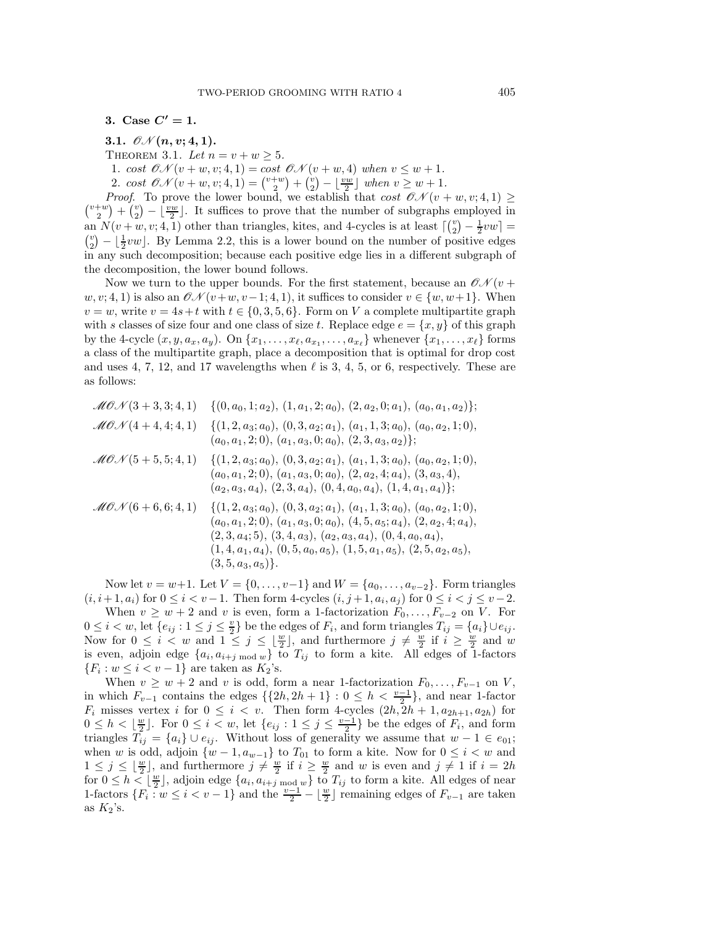3. Case  $C' = 1$ .

3.1. 
$$
\mathcal{ON}(n, v; 4, 1)
$$
.

THEOREM 3.1. Let  $n = v + w \ge 5$ .

1. cost  $\mathcal{ON}(v+w,v;4,1) = \cos t \mathcal{ON}(v+w,4)$  when  $v \leq w+1$ .

2. cost  $\mathcal{ON}(v+w,v;4,1) = \binom{v+w}{2} + \binom{v}{2} - \lfloor \frac{vw}{2} \rfloor$  when  $v \geq w+1$ .

 $\binom{v+w}{2}$  +  $\binom{v}{2}$  -  $\lfloor \frac{vw}{2} \rfloor$ . It suffices to prove that the number of subgraphs employed in *Proof.* To prove the lower bound, we establish that cost  $\mathcal{CN}(v+w, v; 4, 1) \geq v+w$ ,  $(v)$   $(v)$  if we integrate prove that the number of subgraphs employed in an  $N(v+w, v; 4, 1)$  other than triangles, kites, and 4-cycles is at least  $\lceil {v \choose 2} - \frac{1}{2}vw \rceil =$ <br> ${v \choose 2} - \frac{1}{2}vw$ . By Lemma 2.2, this is a lower bound on the number of positive edges  $\binom{v}{2} - \lfloor \frac{1}{2}vw \rfloor$ . By Lemma 2.2, this is a lower bound on the number of positive edges in any such decomposition; because each positive edge lies in a different subgraph of the decomposition, the lower bound follows.

Now we turn to the upper bounds. For the first statement, because an  $\mathcal{CN}(v +$  $w, v; 4, 1$  is also an  $\mathcal{ON}(v+w, v-1; 4, 1)$ , it suffices to consider  $v \in \{w, w+1\}$ . When  $v = w$ , write  $v = 4s+t$  with  $t \in \{0, 3, 5, 6\}$ . Form on V a complete multipartite graph with s classes of size four and one class of size t. Replace edge  $e = \{x, y\}$  of this graph by the 4-cycle  $(x, y, a_x, a_y)$ . On  $\{x_1, \ldots, x_\ell, a_{x_1}, \ldots, a_{x_\ell}\}$  whenever  $\{x_1, \ldots, x_\ell\}$  forms a class of the multipartite graph, place a decomposition that is optimal for drop cost and uses 4, 7, 12, and 17 wavelengths when  $\ell$  is 3, 4, 5, or 6, respectively. These are as follows:

| $\mathcal{M}(\mathcal{O}(\mathcal{N}(3+3,3;4,1)))$     | $\{(0, a_0, 1; a_2), (1, a_1, 2; a_0), (2, a_2, 0; a_1), (a_0, a_1, a_2)\};$                                                                                                                                                                                                                    |
|--------------------------------------------------------|-------------------------------------------------------------------------------------------------------------------------------------------------------------------------------------------------------------------------------------------------------------------------------------------------|
| $\mathcal{M} \mathcal{O} \mathcal{N} (4 + 4, 4; 4, 1)$ | $\{(1,2,a_3;a_0), (0,3,a_2;a_1), (a_1,1,3;a_0), (a_0,a_2,1;0),$<br>$(a_0, a_1, 2; 0), (a_1, a_3, 0; a_0), (2, 3, a_3, a_2)\};$                                                                                                                                                                  |
| $\mathcal{M} \mathcal{O} \mathcal{N} (5+5,5;4,1)$      | $\{(1,2,a_3;a_0), (0,3,a_2;a_1), (a_1,1,3;a_0), (a_0,a_2,1;0),$<br>$(a_0, a_1, 2; 0), (a_1, a_3, 0; a_0), (2, a_2, 4; a_4), (3, a_3, 4),$<br>$(a_2, a_3, a_4), (2, 3, a_4), (0, 4, a_0, a_4), (1, 4, a_1, a_4)$                                                                                 |
| $\mathcal{M}(\mathcal{O}(\mathcal{N}(6+6,6;4,1)))$     | $\{(1,2,a_3;a_0), (0,3,a_2;a_1), (a_1,1,3;a_0), (a_0,a_2,1;0),$<br>$(a_0, a_1, 2; 0), (a_1, a_3, 0; a_0), (4, 5, a_5; a_4), (2, a_2, 4; a_4),$<br>$(2,3,a_4;5), (3,4,a_3), (a_2,a_3,a_4), (0,4,a_0,a_4),$<br>$(1,4,a_1,a_4), (0,5,a_0,a_5), (1,5,a_1,a_5), (2,5,a_2,a_5),$<br>$(3,5,a_3,a_5)$ . |

Now let  $v = w+1$ . Let  $V = \{0, ..., v-1\}$  and  $W = \{a_0, ..., a_{v-2}\}$ . Form triangles  $(i, i+1, a_i)$  for  $0 \le i < v-1$ . Then form 4-cycles  $(i, j+1, a_i, a_j)$  for  $0 \le i < j \le v-2$ . When  $v \geq w + 2$  and v is even, form a 1-factorization  $F_0, \ldots, F_{v-2}$  on V. For  $0 \leq i < w$ , let  $\{e_{ij} : 1 \leq j \leq \frac{v}{2}\}$  be the edges of  $F_i$ , and form triangles  $T_{ij} = \{a_i\} \cup e_{ij}$ . Now for  $0 \leq i < w$  and  $1 \leq j \leq \lfloor \frac{w}{2} \rfloor$ , and furthermore  $j \neq \frac{w}{2}$  if  $i \geq \frac{w}{2}$  and w is even, adjoin edge  $\{a_i, a_{i+j \bmod w}\}\)$  to  $T_{ij}$  to form a kite. All edges of 1-factors  ${F_i : w \le i < v - 1}$  are taken as  $K_2$ 's.

When  $v \geq w + 2$  and v is odd, form a near 1-factorization  $F_0, \ldots, F_{v-1}$  on V, in which  $F_{v-1}$  contains the edges  $\{\{2h, 2h + 1\} : 0 \leq h < \frac{v-1}{2}\}\$ , and near 1-factor  $F_i$  misses vertex i for  $0 \leq i \leq v$ . Then form 4-cycles  $(2h, 2h + 1, a_{2h+1}, a_{2h})$  for  $0 \leq h < \lfloor \frac{w}{2} \rfloor$ . For  $0 \leq i < w$ , let  $\{e_{ij} : 1 \leq j \leq \frac{v-1}{2}\}$  be the edges of  $F_i$ , and form triangles  $T_{ij} = \{a_i\} \cup e_{ij}$ . Without loss of generality we assume that  $w - 1 \in e_{01}$ ; when w is odd, adjoin  $\{w-1, a_{w-1}\}\)$  to  $T_{01}$  to form a kite. Now for  $0 \leq i < w$  and  $1 \leq j \leq \lfloor \frac{w}{2} \rfloor$ , and furthermore  $j \neq \frac{w}{2}$  if  $i \geq \frac{w}{2}$  and w is even and  $j \neq 1$  if  $i = 2h$ for  $0 \le h \le \lfloor \frac{w}{2} \rfloor$ , adjoin edge  $\{a_i, a_{i+j} \mod w\}$  to  $T_{ij}$  to form a kite. All edges of near 1-factors  $\{F_i : w \leq i < v-1\}$  and the  $\frac{v-1}{2} - \lfloor \frac{w}{2} \rfloor$  remaining edges of  $F_{v-1}$  are taken as  $K_2$ 's.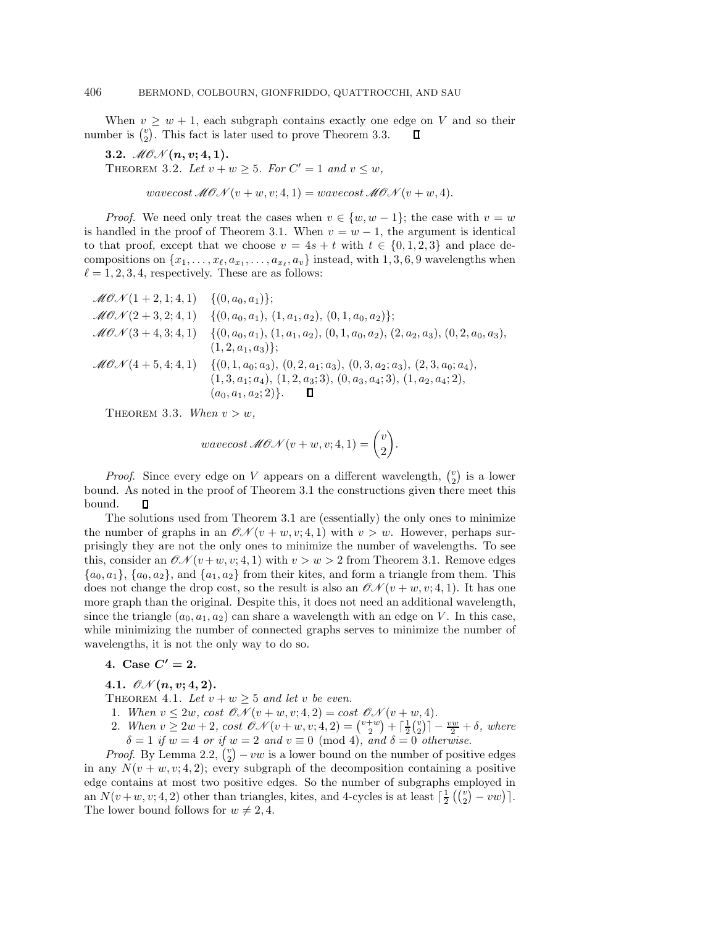When  $v \geq w + 1$ , each subgraph contains exactly one edge on V and so their ber is  $\binom{n}{2}$ . This fact is later used to prove Theorem 3.3. number is  $\binom{v}{2}$ . This fact is later used to prove Theorem 3.3.

3.2.  $MOM(n, v; 4, 1)$ . THEOREM 3.2. Let  $v + w > 5$ . For  $C' = 1$  and  $v \leq w$ ,

wavecost  $\mathcal{M}ON(v+w,v;4,1) = wavecost \mathcal{M}ON(v+w,4).$ 

*Proof.* We need only treat the cases when  $v \in \{w, w - 1\}$ ; the case with  $v = w$ is handled in the proof of Theorem 3.1. When  $v = w - 1$ , the argument is identical to that proof, except that we choose  $v = 4s + t$  with  $t \in \{0, 1, 2, 3\}$  and place decompositions on  $\{x_1,\ldots,x_\ell,a_{x_1},\ldots,a_{x_\ell},a_v\}$  instead, with 1, 3, 6, 9 wavelengths when  $\ell = 1, 2, 3, 4$ , respectively. These are as follows:

$$
\mathcal{MOM}(1+2,1;4,1) \{ (0,a_0,a_1) \};
$$
  
\n
$$
\mathcal{MOM}(2+3,2;4,1) \{ (0,a_0,a_1), (1,a_1,a_2), (0,1,a_0,a_2) \};
$$
  
\n
$$
\mathcal{MOM}(3+4,3;4,1) \{ (0,a_0,a_1), (1,a_1,a_2), (0,1,a_0,a_2), (2,a_2,a_3), (0,2,a_0,a_3), (1,2,a_1,a_3) \};
$$
  
\n
$$
\mathcal{MOM}(4+5,4;4,1) \{ (0,1,a_0;a_3), (0,2,a_1;a_3), (0,3,a_2;a_3), (2,3,a_0;a_4), (1,3,a_1;a_4), (1,2,a_3;3), (0,a_3,a_4;3), (1,a_2,a_4;2), (a_0,a_1,a_2;2) \}.
$$

THEOREM 3.3. When  $v>w$ ,

$$
wavecost\,\mathscr{MOM}(v+w,v;4,1) = \binom{v}{2}.
$$

*Proof.* Since every edge on V appears on a different wavelength,  $\binom{v}{2}$  is a lower bound. As noted in the proof of Theorem 3.1 the constructions given there meet this bound.  $\Box$ 

The solutions used from Theorem 3.1 are (essentially) the only ones to minimize the number of graphs in an  $\mathcal{ON}(v+w,v;4,1)$  with  $v>w$ . However, perhaps surprisingly they are not the only ones to minimize the number of wavelengths. To see this, consider an  $\mathcal{O}(\mathcal{N}(v+w, v; 4, 1))$  with  $v>w>2$  from Theorem 3.1. Remove edges  ${a_0, a_1}, {a_0, a_2}, \text{ and } {a_1, a_2}$  from their kites, and form a triangle from them. This does not change the drop cost, so the result is also an  $\mathcal{CN}(v+w,v;4,1)$ . It has one more graph than the original. Despite this, it does not need an additional wavelength, since the triangle  $(a_0, a_1, a_2)$  can share a wavelength with an edge on V. In this case, while minimizing the number of connected graphs serves to minimize the number of wavelengths, it is not the only way to do so.

4. Case  $C' = 2$ .

4.1.  $\mathcal{O}N(n, v; 4, 2)$ .

THEOREM 4.1. Let  $v + w \geq 5$  and let v be even.

- 1. When  $v \leq 2w$ , cost  $\mathcal{ON}(v+w,v;4,2) = \cos t \mathcal{ON}(v+w,4)$ .
- 2. When  $v \ge 2w + 2$ , cost  $\mathcal{O}N(v+w, v; 4, 2) = {v+w \choose 2} + \lceil \frac{1}{2} {v \choose 2} \rceil \frac{vw}{2} + \delta$ , where  $\delta = 1$  if  $w = 4$  or if  $w = 2$  and  $v \equiv 0 \pmod{4}$ , and  $\delta = 0$  otherwise.

*Proof.* By Lemma 2.2,  $\binom{v}{2} - vw$  is a lower bound on the number of positive edges in any  $N(v + w, v; 4, 2)$ ; every subgraph of the decomposition containing a positive edge contains at most two positive edges. So the number of subgraphs employed in an  $N(v+w, v; 4, 2)$  other than triangles, kites, and 4-cycles is at least  $\lceil \frac{1}{2} \binom{v}{2} - vw \rceil$ . The lower bound follows for  $w \neq 2, 4$ .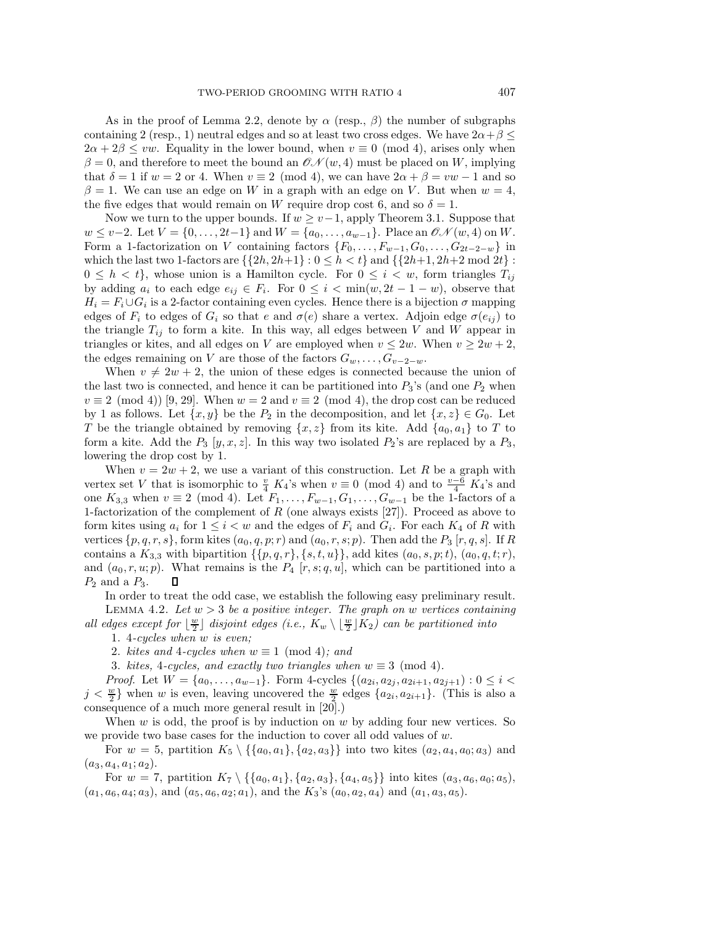As in the proof of Lemma 2.2, denote by  $\alpha$  (resp.,  $\beta$ ) the number of subgraphs containing 2 (resp., 1) neutral edges and so at least two cross edges. We have  $2\alpha + \beta \leq$  $2\alpha + 2\beta \le vw$ . Equality in the lower bound, when  $v \equiv 0 \pmod{4}$ , arises only when  $\beta = 0$ , and therefore to meet the bound an  $\mathcal{CN}(w, 4)$  must be placed on W, implying that  $\delta = 1$  if  $w = 2$  or 4. When  $v \equiv 2 \pmod{4}$ , we can have  $2\alpha + \beta = vw - 1$  and so  $\beta = 1$ . We can use an edge on W in a graph with an edge on V. But when  $w = 4$ , the five edges that would remain on W require drop cost 6, and so  $\delta = 1$ .

Now we turn to the upper bounds. If  $w \geq v-1$ , apply Theorem 3.1. Suppose that  $w \le v-2$ . Let  $V = \{0, \ldots, 2t-1\}$  and  $W = \{a_0, \ldots, a_{w-1}\}$ . Place an  $\mathcal{ON}(w, 4)$  on W. Form a 1-factorization on V containing factors  $\{F_0,\ldots,F_{w-1},G_0,\ldots,G_{2t-2-w}\}\$  in which the last two 1-factors are  $\{\{2h,2h+1\}: 0 \leq h < t\}$  and  $\{\{2h+1,2h+2 \bmod 2t\}$ :  $0 \leq h \leq t$ , whose union is a Hamilton cycle. For  $0 \leq i \leq w$ , form triangles  $T_{ij}$ by adding  $a_i$  to each edge  $e_{ij} \in F_i$ . For  $0 \leq i < \min(w, 2t - 1 - w)$ , observe that  $H_i = F_i \cup G_i$  is a 2-factor containing even cycles. Hence there is a bijection  $\sigma$  mapping edges of  $F_i$  to edges of  $G_i$  so that e and  $\sigma(e)$  share a vertex. Adjoin edge  $\sigma(e_{ij})$  to the triangle  $T_{ij}$  to form a kite. In this way, all edges between V and W appear in triangles or kites, and all edges on V are employed when  $v \leq 2w$ . When  $v \geq 2w + 2$ , the edges remaining on V are those of the factors  $G_w, \ldots, G_{v-2-w}$ .

When  $v \neq 2w + 2$ , the union of these edges is connected because the union of the last two is connected, and hence it can be partitioned into  $P_3$ 's (and one  $P_2$  when  $v \equiv 2 \pmod{4}$  [9, 29]. When  $w = 2$  and  $v \equiv 2 \pmod{4}$ , the drop cost can be reduced by 1 as follows. Let  $\{x, y\}$  be the  $P_2$  in the decomposition, and let  $\{x, z\} \in G_0$ . Let T be the triangle obtained by removing  $\{x, z\}$  from its kite. Add  $\{a_0, a_1\}$  to T to form a kite. Add the  $P_3$  [y, x, z]. In this way two isolated  $P_2$ 's are replaced by a  $P_3$ , lowering the drop cost by 1.

When  $v = 2w + 2$ , we use a variant of this construction. Let R be a graph with vertex set V that is isomorphic to  $\frac{v}{4} K_4$ 's when  $v \equiv 0 \pmod{4}$  and to  $\frac{v-6}{4} K_4$ 's and one  $K_{3,3}$  when  $v \equiv 2 \pmod{4}$ . Let  $F_1, \ldots, F_{w-1}, G_1, \ldots, G_{w-1}$  be the 1-factors of a 1-factorization of the complement of  $R$  (one always exists [27]). Proceed as above to form kites using  $a_i$  for  $1 \leq i < w$  and the edges of  $F_i$  and  $G_i$ . For each  $K_4$  of R with vertices  $\{p, q, r, s\}$ , form kites  $(a_0, q, p; r)$  and  $(a_0, r, s; p)$ . Then add the  $P_3$  [r, q, s]. If R contains a  $K_{3,3}$  with bipartition  $\{\{p,q,r\},\{s,t,u\}\}\,$  add kites  $(a_0,s,p;t)$ ,  $(a_0,q,t;r)$ , and  $(a_0, r, u; p)$ . What remains is the  $P_4$  [r, s; q, u], which can be partitioned into a  $P_2$  and a  $P_3$ . П

In order to treat the odd case, we establish the following easy preliminary result. LEMMA 4.2. Let  $w > 3$  be a positive integer. The graph on w vertices containing

all edges except for  $\lfloor \frac{w}{2} \rfloor$  disjoint edges (i.e.,  $K_w \setminus \lfloor \frac{w}{2} \rfloor K_2$ ) can be partitioned into

1. 4-cycles when w is even;

2. kites and 4-cycles when  $w \equiv 1 \pmod{4}$ ; and

3. kites, 4-cycles, and exactly two triangles when  $w \equiv 3 \pmod{4}$ .

*Proof.* Let  $W = \{a_0, \ldots, a_{w-1}\}$ . Form 4-cycles  $\{(a_{2i}, a_{2j}, a_{2i+1}, a_{2j+1}): 0 \leq i <$  $j < \frac{w}{2}$  when w is even, leaving uncovered the  $\frac{w}{2}$  edges  $\{a_{2i}, a_{2i+1}\}\$ . (This is also a consequence of a much more general result in [20].)

When  $w$  is odd, the proof is by induction on  $w$  by adding four new vertices. So we provide two base cases for the induction to cover all odd values of  $w$ .

For  $w = 5$ , partition  $K_5 \setminus {\{a_0, a_1\}, \{a_2, a_3\}}$  into two kites  $(a_2, a_4, a_0; a_3)$  and  $(a_3, a_4, a_1; a_2).$ 

For  $w = 7$ , partition  $K_7 \setminus {\{a_0, a_1\}, \{a_2, a_3\}, \{a_4, a_5\}}$  into kites  $(a_3, a_6, a_0; a_5)$ ,  $(a_1, a_6, a_4; a_3)$ , and  $(a_5, a_6, a_2; a_1)$ , and the  $K_3$ 's  $(a_0, a_2, a_4)$  and  $(a_1, a_3, a_5)$ .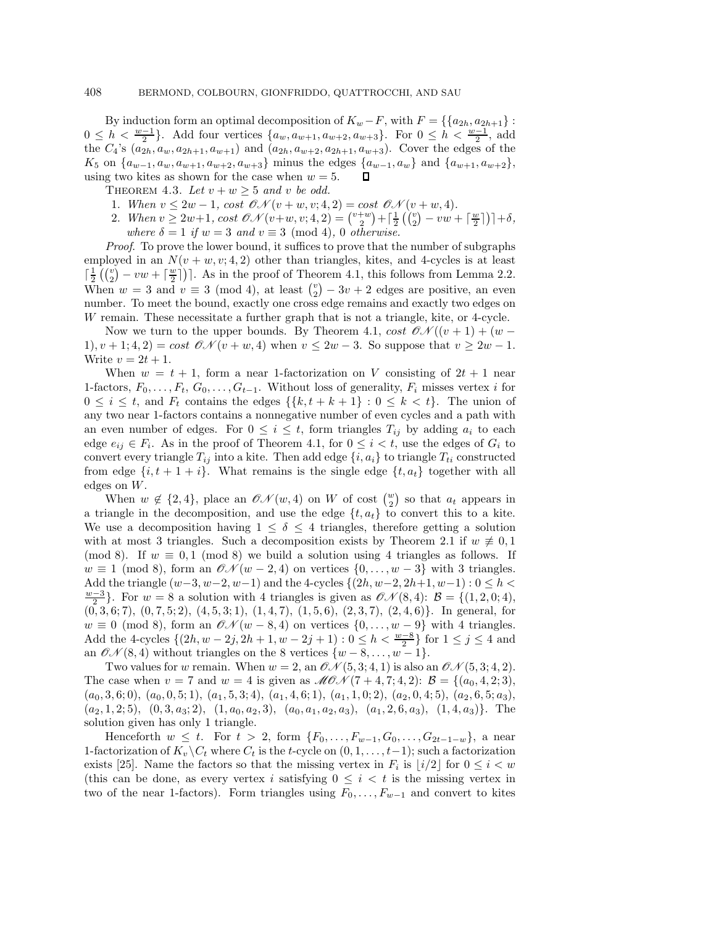By induction form an optimal decomposition of  $K_w - F$ , with  $F = \{\{a_{2h}, a_{2h+1}\}$ :  $0 \leq h < \frac{w-1}{2}$ . Add four vertices  $\{a_w, a_{w+1}, a_{w+2}, a_{w+3}\}$ . For  $0 \leq h < \frac{w-1}{2}$ , add the  $C_4$ 's  $(a_{2h}, a_w, a_{2h+1}, a_{w+1})$  and  $(a_{2h}, a_{w+2}, a_{2h+1}, a_{w+3})$ . Cover the edges of the  $K_5$  on  $\{a_{w-1}, a_w, a_{w+1}, a_{w+2}, a_{w+3}\}$  minus the edges  $\{a_{w-1}, a_w\}$  and  $\{a_{w+1}, a_{w+2}\}$ , using two kites as shown for the case when  $w = 5$ . using two kites as shown for the case when  $w = 5$ .

THEOREM 4.3. Let  $v + w \geq 5$  and v be odd.

- 1. When  $v \leq 2w 1$ , cost  $\mathcal{O}N(v + w, v; 4, 2) = \text{cost } \mathcal{O}N(v + w, 4)$ .
- 2. When  $v \ge 2w+1$ ,  $\cos \theta \mathcal{N}(v+w, v; 4, 2) = {v+w \choose 2} + \left[\frac{1}{2}({v \choose 2} vw + \left[\frac{w}{2}\right]\right)] + \delta$ , where  $\delta = 1$  if  $w = 3$  and  $v \equiv 3 \pmod{4}$ , 0 otherwise.

Proof. To prove the lower bound, it suffices to prove that the number of subgraphs employed in an  $N(v + w, v; 4, 2)$  other than triangles, kites, and 4-cycles is at least  $\lceil \frac{1}{2} \left( \binom{v}{2} - vw + \lceil \frac{w}{2} \rceil \right) \rceil$ . As in the proof of Theorem 4.1, this follows from Lemma 2.2. When  $w = 3$  and  $v \equiv 3 \pmod{4}$ , at least  $\binom{v}{2} - 3v + 2$  edges are positive, an even number. To meet the bound, exactly one cross edge remains and exactly two edges on W remain. These necessitate a further graph that is not a triangle, kite, or 4-cycle.

Now we turn to the upper bounds. By Theorem 4.1, cost  $\mathcal{ON}((v+1)+(w-$ 1),  $v + 1$ ; 4, 2) = cost  $\mathcal{ON}(v + w, 4)$  when  $v \leq 2w - 3$ . So suppose that  $v \geq 2w - 1$ . Write  $v = 2t + 1$ .

When  $w = t + 1$ , form a near 1-factorization on V consisting of  $2t + 1$  near 1-factors,  $F_0, \ldots, F_t, G_0, \ldots, G_{t-1}$ . Without loss of generality,  $F_i$  misses vertex i for  $0 \leq i \leq t$ , and  $F_t$  contains the edges  $\{\{k, t + k + 1\} : 0 \leq k \leq t\}$ . The union of any two near 1-factors contains a nonnegative number of even cycles and a path with an even number of edges. For  $0 \leq i \leq t$ , form triangles  $T_{ij}$  by adding  $a_i$  to each edge  $e_{ij} \in F_i$ . As in the proof of Theorem 4.1, for  $0 \leq i < t$ , use the edges of  $G_i$  to convert every triangle  $T_{ij}$  into a kite. Then add edge  $\{i, a_i\}$  to triangle  $T_{ti}$  constructed from edge  $\{i, t+1+i\}$ . What remains is the single edge  $\{t, a_t\}$  together with all edges on W.

When  $w \notin \{2, 4\}$ , place an  $\mathcal{ON}(w, 4)$  on W of cost  $\binom{w}{2}$  so that  $a_t$  appears in a triangle in the decomposition, and use the edge  $\{t, a_t\}$  to convert this to a kite. We use a decomposition having  $1 \leq \delta \leq 4$  triangles, therefore getting a solution with at most 3 triangles. Such a decomposition exists by Theorem 2.1 if  $w \neq 0, 1$ (mod 8). If  $w \equiv 0, 1 \pmod{8}$  we build a solution using 4 triangles as follows. If  $w \equiv 1 \pmod{8}$ , form an  $\mathcal{ON}(w-2,4)$  on vertices  $\{0,\ldots,w-3\}$  with 3 triangles. Add the triangle  $(w-3, w-2, w-1)$  and the 4-cycles  $\{(2h, w-2, 2h+1, w-1) : 0 \leq h <$  $\frac{w-3}{2}$ . For  $w = 8$  a solution with 4 triangles is given as  $\mathcal{ON}(8, 4)$ :  $\mathcal{B} = \{(1, 2, 0; 4),\}$  $(0, 3, 6; 7), (0, 7, 5; 2), (4, 5, 3; 1), (1, 4, 7), (1, 5, 6), (2, 3, 7), (2, 4, 6)$ . In general, for  $w \equiv 0 \pmod{8}$ , form an  $\mathcal{O}(\mathcal{N}(w-8, 4))$  on vertices  $\{0, \ldots, w-9\}$  with 4 triangles. Add the 4-cycles  $\{(2h, w - 2j, 2h + 1, w - 2j + 1) : 0 \le h < \frac{w - 8}{2}\}$  for  $1 \le j \le 4$  and an  $\mathcal{ON}(8, 4)$  without triangles on the 8 vertices  $\{w-8, \ldots, w-1\}.$ 

Two values for w remain. When  $w = 2$ , an  $\mathcal{O}(\mathcal{O}(5, 3; 4, 1))$  is also an  $\mathcal{O}(\mathcal{O}(5, 3; 4, 2))$ . The case when  $v = 7$  and  $w = 4$  is given as  $MON(7 + 4, 7; 4, 2)$ :  $\mathcal{B} = \{(a_0, 4, 2; 3),$  $(a_0, 3, 6; 0), (a_0, 0, 5; 1), (a_1, 5, 3; 4), (a_1, 4, 6; 1), (a_1, 1, 0; 2), (a_2, 0, 4; 5), (a_2, 6, 5; a_3),$  $(a_2, 1, 2; 5), (0, 3, a_3; 2), (1, a_0, a_2, 3), (a_0, a_1, a_2, a_3), (a_1, 2, 6, a_3), (1, 4, a_3)\}.$  The solution given has only 1 triangle.

Henceforth  $w \leq t$ . For  $t > 2$ , form  $\{F_0, \ldots, F_{w-1}, G_0, \ldots, G_{2t-1-w}\}$ , a near 1-factorization of  $K_v \backslash C_t$  where  $C_t$  is the t-cycle on  $(0, 1, \ldots, t-1)$ ; such a factorization exists [25]. Name the factors so that the missing vertex in  $F_i$  is  $|i/2|$  for  $0 \le i < w$ (this can be done, as every vertex i satisfying  $0 \leq i \leq t$  is the missing vertex in two of the near 1-factors). Form triangles using  $F_0, \ldots, F_{w-1}$  and convert to kites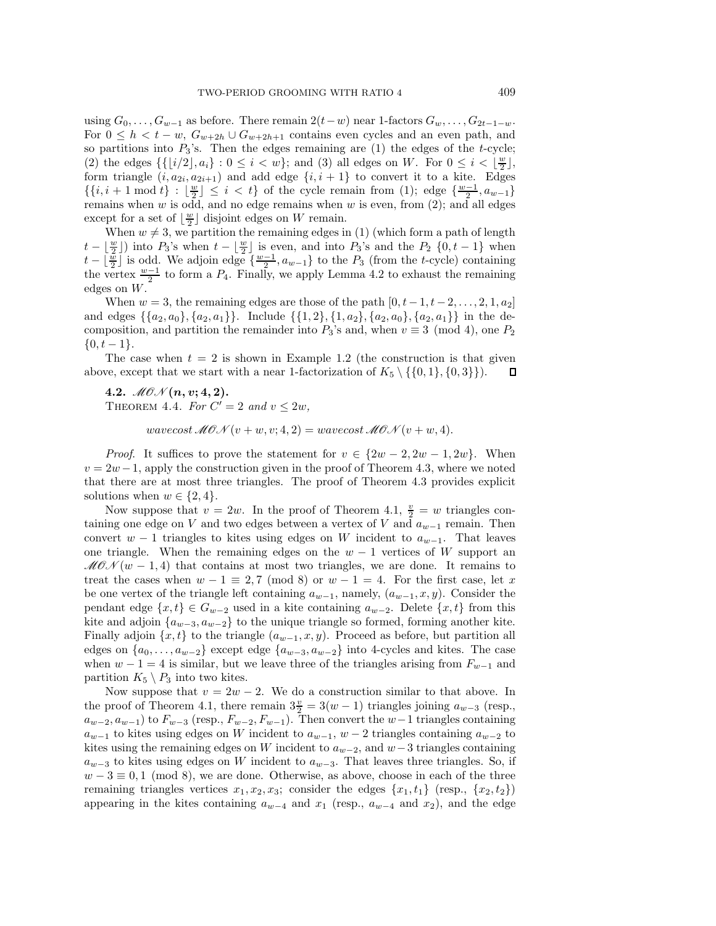using  $G_0, \ldots, G_{w-1}$  as before. There remain  $2(t-w)$  near 1-factors  $G_w, \ldots, G_{2t-1-w}$ . For  $0 \leq h < t - w$ ,  $G_{w+2h} \cup G_{w+2h+1}$  contains even cycles and an even path, and so partitions into  $P_3$ 's. Then the edges remaining are (1) the edges of the t-cycle; (2) the edges  $\{ \{ [i/2], a_i \} : 0 \le i < w \}$ ; and (3) all edges on W. For  $0 \le i < \lfloor \frac{w}{2} \rfloor$ , form triangle  $(i, a_{2i}, a_{2i+1})$  and add edge  $\{i, i + 1\}$  to convert it to a kite. Edges  $\{\{i, i + 1 \mod t\} : \lfloor \frac{w}{2} \rfloor \leq i < t\}$  of the cycle remain from (1); edge  $\{\frac{w-1}{2}, a_{w-1}\}$ remains when  $w$  is odd, and no edge remains when  $w$  is even, from  $(2)$ ; and all edges except for a set of  $\lfloor \frac{w}{2} \rfloor$  disjoint edges on W remain.

When  $w \neq 3$ , we partition the remaining edges in (1) (which form a path of length  $t - \lfloor \frac{w}{2} \rfloor$  into  $P_3$ 's when  $t - \lfloor \frac{w}{2} \rfloor$  is even, and into  $P_3$ 's and the  $P_2$  {0,  $t - 1$ } when  $t - \lfloor \frac{x}{2} \rfloor$  is odd. We adjoin edge  $\{\frac{w-1}{2}, a_{w-1}\}$  to the  $P_3$  (from the t-cycle) containing the vertex  $\frac{w-1}{2}$  to form a  $P_4$ . Finally, we apply Lemma 4.2 to exhaust the remaining edges on W.

When  $w = 3$ , the remaining edges are those of the path  $[0, t - 1, t - 2, \ldots, 2, 1, a_2]$ and edges  $\{\{a_2, a_0\}, \{a_2, a_1\}\}\$ . Include  $\{\{1, 2\}, \{1, a_2\}, \{a_2, a_0\}, \{a_2, a_1\}\}\$  in the decomposition, and partition the remainder into  $P_3$ 's and, when  $v \equiv 3 \pmod{4}$ , one  $P_2$  $\{0, t-1\}.$ 

The case when  $t = 2$  is shown in Example 1.2 (the construction is that given above, except that we start with a near 1-factorization of  $K_5 \setminus \{ \{0, 1\}, \{0, 3\} \}$ .  $\Box$ 

4.2.  $MOM(n, v; 4, 2)$ . THEOREM 4.4. For  $C' = 2$  and  $v \leq 2w$ ,

wavecost  $\mathcal{M}(\mathcal{O}(\mathcal{N}(v+w,v;4,2)))$  = wavecost  $\mathcal{M}(\mathcal{O}(\mathcal{N}(v+w,4)))$ .

*Proof.* It suffices to prove the statement for  $v \in \{2w - 2, 2w - 1, 2w\}$ . When  $v = 2w - 1$ , apply the construction given in the proof of Theorem 4.3, where we noted that there are at most three triangles. The proof of Theorem 4.3 provides explicit solutions when  $w \in \{2, 4\}.$ 

Now suppose that  $v = 2w$ . In the proof of Theorem 4.1,  $\frac{v}{2} = w$  triangles containing one edge on V and two edges between a vertex of V and  $a_{w-1}$  remain. Then convert  $w - 1$  triangles to kites using edges on W incident to  $a_{w-1}$ . That leaves one triangle. When the remaining edges on the  $w - 1$  vertices of W support an  $MON(w-1, 4)$  that contains at most two triangles, we are done. It remains to treat the cases when  $w - 1 \equiv 2, 7 \pmod{8}$  or  $w - 1 = 4$ . For the first case, let x be one vertex of the triangle left containing  $a_{w-1}$ , namely,  $(a_{w-1}, x, y)$ . Consider the pendant edge  $\{x, t\} \in G_{w-2}$  used in a kite containing  $a_{w-2}$ . Delete  $\{x, t\}$  from this kite and adjoin  $\{a_{w-3}, a_{w-2}\}$  to the unique triangle so formed, forming another kite. Finally adjoin  $\{x, t\}$  to the triangle  $(a_{w-1}, x, y)$ . Proceed as before, but partition all edges on  $\{a_0,\ldots,a_{w-2}\}\)$  except edge  $\{a_{w-3},a_{w-2}\}\$  into 4-cycles and kites. The case when  $w - 1 = 4$  is similar, but we leave three of the triangles arising from  $F_{w-1}$  and partition  $K_5 \setminus P_3$  into two kites.

Now suppose that  $v = 2w - 2$ . We do a construction similar to that above. In the proof of Theorem 4.1, there remain  $3\frac{v}{2} = 3(w-1)$  triangles joining  $a_{w-3}$  (resp.,  $a_{w-2}, a_{w-1}$ ) to  $F_{w-3}$  (resp.,  $F_{w-2}, F_{w-1}$ ). Then convert the  $w-1$  triangles containing  $a_{w-1}$  to kites using edges on W incident to  $a_{w-1}$ ,  $w-2$  triangles containing  $a_{w-2}$  to kites using the remaining edges on W incident to  $a_{w-2}$ , and  $w-3$  triangles containing  $a_{w-3}$  to kites using edges on W incident to  $a_{w-3}$ . That leaves three triangles. So, if  $w - 3 \equiv 0, 1 \pmod{8}$ , we are done. Otherwise, as above, choose in each of the three remaining triangles vertices  $x_1, x_2, x_3$ ; consider the edges  $\{x_1, t_1\}$  (resp.,  $\{x_2, t_2\}$ ) appearing in the kites containing  $a_{w-4}$  and  $x_1$  (resp.,  $a_{w-4}$  and  $x_2$ ), and the edge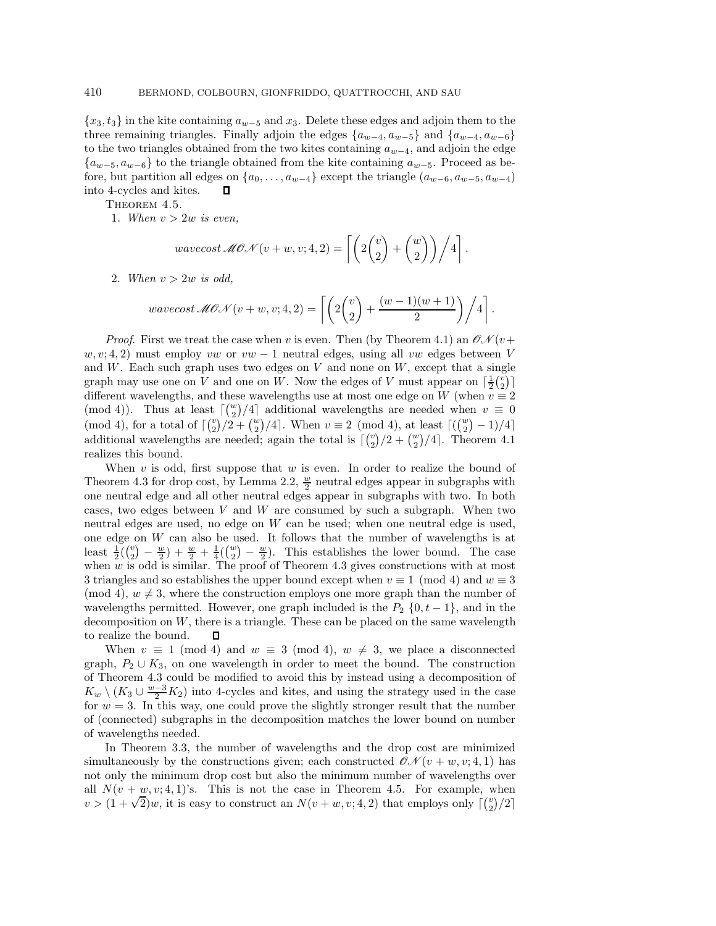${x_3, t_3}$  in the kite containing  $a_{w-5}$  and  $x_3$ . Delete these edges and adjoin them to the three remaining triangles. Finally adjoin the edges  $\{a_{w-4}, a_{w-5}\}\$  and  $\{a_{w-4}, a_{w-6}\}\$ to the two triangles obtained from the two kites containing  $a_{w-4}$ , and adjoin the edge  ${a_{w-5}, a_{w-6}}$  to the triangle obtained from the kite containing  $a_{w-5}$ . Proceed as before, but partition all edges on  $\{a_0, \ldots, a_{w-4}\}$  except the triangle  $(a_{w-6}, a_{w-5}, a_{w-4})$ <br>into 4-cycles and kites  $\Box$ into 4-cycles and kites.

THEOREM 4.5.

1. When  $v > 2w$  is even,

$$
wavecost \mathcal{MON}(v+w, v; 4, 2) = \left[ \left( 2 \binom{v}{2} + \binom{w}{2} \right) / 4 \right].
$$

2. When  $v > 2w$  is odd,

$$
wavecost \mathcal{MON}(v+w, v; 4, 2) = \left[ \left( 2 \binom{v}{2} + \frac{(w-1)(w+1)}{2} \right) / 4 \right].
$$

*Proof.* First we treat the case when v is even. Then (by Theorem 4.1) an  $\mathcal{ON}(v+$  $w, v; 4, 2$ ) must employ vw or  $vw - 1$  neutral edges, using all vw edges between V and  $W$ . Each such graph uses two edges on  $V$  and none on  $W$ , except that a single graph may use one on V and one on W. Now the edges of V must appear on  $\lceil \frac{1}{2} {v \choose 2} \rceil$ different wavelengths, and these wavelengths use at most one edge on W (when  $v \equiv 2$ (mod 4)). Thus at least  $\lceil \binom{w}{2}/4 \rceil$  additional wavelengths are needed when  $v \equiv 0$ (mod 4), for a total of  $\lceil {v \choose 2}/2 + {w \choose 2}/4 \rceil$ . When  $v \equiv 2 \pmod{4}$ , at least  $\lceil {w \choose 2} - 1)/4 \rceil$ additional wavelengths are needed; again the total is  $\lceil {v \choose 2}/2 + {w \choose 2}/4 \rceil$ . Theorem 4.1 realizes this bound.

When  $v$  is odd, first suppose that  $w$  is even. In order to realize the bound of Theorem 4.3 for drop cost, by Lemma 2.2,  $\frac{w}{2}$  neutral edges appear in subgraphs with one neutral edge and all other neutral edges appear in subgraphs with two. In both cases, two edges between  $V$  and  $W$  are consumed by such a subgraph. When two neutral edges are used, no edge on W can be used; when one neutral edge is used, one edge on  $W$  can also be used. It follows that the number of wavelengths is at least  $\frac{1}{2}(\binom{v}{2} - \frac{w}{2}) + \frac{w}{2} + \frac{1}{4}(\binom{w}{2} - \frac{w}{2})$ . This establishes the lower bound. The case when  $w$  is odd is similar. The proof of Theorem 4.3 gives constructions with at most 3 triangles and so establishes the upper bound except when  $v \equiv 1 \pmod{4}$  and  $w \equiv 3$ (mod 4),  $w \neq 3$ , where the construction employs one more graph than the number of wavelengths permitted. However, one graph included is the  $P_2 \{0, t-1\}$ , and in the decomposition on  $W$ , there is a triangle. These can be placed on the same wavelength to realize the bound.  $\Box$ 

When  $v \equiv 1 \pmod{4}$  and  $w \equiv 3 \pmod{4}$ ,  $w \neq 3$ , we place a disconnected graph,  $P_2 \cup K_3$ , on one wavelength in order to meet the bound. The construction of Theorem 4.3 could be modified to avoid this by instead using a decomposition of  $K_w \setminus (K_3 \cup \frac{w-3}{2} K_2)$  into 4-cycles and kites, and using the strategy used in the case for  $w = 3$ . In this way, one could prove the slightly stronger result that the number of (connected) subgraphs in the decomposition matches the lower bound on number of wavelengths needed.

In Theorem 3.3, the number of wavelengths and the drop cost are minimized simultaneously by the constructions given; each constructed  $\mathcal{CN}(v+w,v;4,1)$  has not only the minimum drop cost but also the minimum number of wavelengths over all  $N(v + w, v; 4, 1)$ 's. This is not the case in Theorem 4.5. For example, when  $v > (1 + \sqrt{2})w$ , it is easy to construct an  $N(v + w, v; 4, 2)$  that employs only  $\lceil {v \choose 2} / 2 \rceil$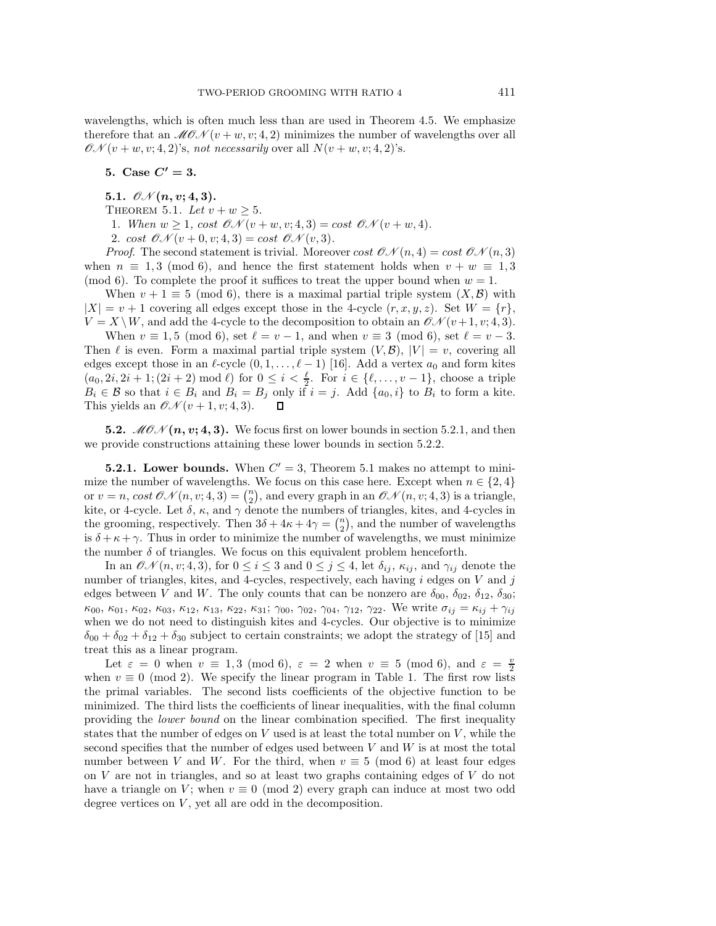wavelengths, which is often much less than are used in Theorem 4.5. We emphasize therefore that an  $\mathcal{M}(\mathcal{O}_{\mathcal{N}}(v+w,v;4,2))$  minimizes the number of wavelengths over all  $\mathcal{ON}(v+w,v;4,2)$ 's, not necessarily over all  $N(v+w,v;4,2)$ 's.

5. Case  $C' = 3$ .

- 5.1.  $\mathcal{O}N(n, v; 4, 3)$ .
- THEOREM 5.1. Let  $v + w \geq 5$ .

1. When  $w \geq 1$ , cost  $\mathcal{ON}(v+w,v;4,3) = \cos t \mathcal{ON}(v+w,4)$ .

2. cost  $\mathcal{O}N(v+0, v; 4, 3) = \text{cost } \mathcal{O}N(v, 3)$ .

*Proof.* The second statement is trivial. Moreover  $cost \mathcal{ON}(n, 4) = cost \mathcal{ON}(n, 3)$ when  $n \equiv 1, 3 \pmod{6}$ , and hence the first statement holds when  $v + w \equiv 1, 3$ (mod 6). To complete the proof it suffices to treat the upper bound when  $w = 1$ .

When  $v + 1 \equiv 5 \pmod{6}$ , there is a maximal partial triple system  $(X, \mathcal{B})$  with  $|X| = v + 1$  covering all edges except those in the 4-cycle  $(r, x, y, z)$ . Set  $W = \{r\}$ ,  $V = X \setminus W$ , and add the 4-cycle to the decomposition to obtain an  $\mathcal{CN}(v+1, v; 4, 3)$ .

When  $v \equiv 1, 5 \pmod{6}$ , set  $\ell = v - 1$ , and when  $v \equiv 3 \pmod{6}$ , set  $\ell = v - 3$ . Then  $\ell$  is even. Form a maximal partial triple system  $(V, \mathcal{B}), |V| = v$ , covering all edges except those in an  $\ell$ -cycle  $(0, 1, \ldots, \ell - 1)$  [16]. Add a vertex  $a_0$  and form kites  $(a_0, 2i, 2i + 1; (2i + 2) \mod l)$  for  $0 \le i < \frac{l}{2}$ . For  $i \in \{l, ..., v-1\}$ , choose a triple  $B_i \in \mathcal{B}$  so that  $i \in B_i$  and  $B_i = B_j$  only if  $i = j$ . Add  $\{a_0, i\}$  to  $B_i$  to form a kite.<br>This vields an  $\mathcal{ON}(v + 1, v; 4, 3)$ . This yields an  $\mathcal{O} \mathcal{N}(v+1, v; 4, 3)$ .

**5.2.**  $\mathcal{MON}(n, v; 4, 3)$ . We focus first on lower bounds in section 5.2.1, and then we provide constructions attaining these lower bounds in section 5.2.2.

**5.2.1.** Lower bounds. When  $C' = 3$ , Theorem 5.1 makes no attempt to minimize the number of wavelengths. We focus on this case here. Except when  $n \in \{2, 4\}$ or  $v = n$ ,  $cost \mathcal{ON}(n, v; 4, 3) = {n \choose 2}$ , and every graph in an  $\mathcal{ON}(n, v; 4, 3)$  is a triangle, kite, or 4-cycle. Let  $\delta$ ,  $\kappa$ , and  $\gamma$  denote the numbers of triangles, kites, and 4-cycles in the grooming, respectively. Then  $3\delta + 4\kappa + 4\gamma = \binom{n}{2}$ , and the number of wavelengths is  $\delta + \kappa + \gamma$ . Thus in order to minimize the number of wavelengths, we must minimize the number  $\delta$  of triangles. We focus on this equivalent problem henceforth.

In an  $\mathcal{ON}(n, v; 4, 3)$ , for  $0 \leq i \leq 3$  and  $0 \leq j \leq 4$ , let  $\delta_{ij}$ ,  $\kappa_{ij}$ , and  $\gamma_{ij}$  denote the number of triangles, kites, and 4-cycles, respectively, each having  $i$  edges on  $V$  and  $j$ edges between V and W. The only counts that can be nonzero are  $\delta_{00}, \delta_{02}, \delta_{12}, \delta_{30}$ ;  $\kappa_{00}, \kappa_{01}, \kappa_{02}, \kappa_{03}, \kappa_{12}, \kappa_{13}, \kappa_{22}, \kappa_{31}; \gamma_{00}, \gamma_{02}, \gamma_{04}, \gamma_{12}, \gamma_{22}.$  We write  $\sigma_{ij} = \kappa_{ij} + \gamma_{ij}$ when we do not need to distinguish kites and 4-cycles. Our objective is to minimize  $\delta_{00} + \delta_{02} + \delta_{12} + \delta_{30}$  subject to certain constraints; we adopt the strategy of [15] and treat this as a linear program.

Let  $\varepsilon = 0$  when  $v \equiv 1, 3 \pmod{6}$ ,  $\varepsilon = 2$  when  $v \equiv 5 \pmod{6}$ , and  $\varepsilon = \frac{v}{2}$ when  $v \equiv 0 \pmod{2}$ . We specify the linear program in Table 1. The first row lists the primal variables. The second lists coefficients of the objective function to be minimized. The third lists the coefficients of linear inequalities, with the final column providing the lower bound on the linear combination specified. The first inequality states that the number of edges on  $V$  used is at least the total number on  $V$ , while the second specifies that the number of edges used between  $V$  and  $W$  is at most the total number between V and W. For the third, when  $v \equiv 5 \pmod{6}$  at least four edges on V are not in triangles, and so at least two graphs containing edges of V do not have a triangle on V; when  $v \equiv 0 \pmod{2}$  every graph can induce at most two odd degree vertices on  $V$ , yet all are odd in the decomposition.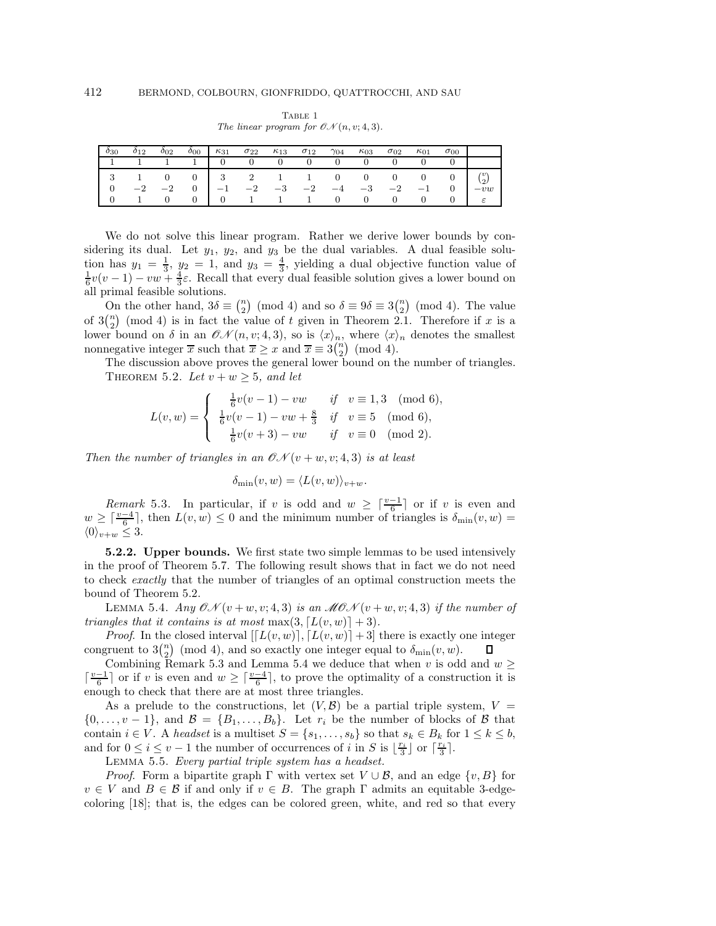|                       | $\sigma_{00}$ | $\kappa_{01}$  | $\sigma_{02}$                                                                                                                                                      | $\kappa_{03}$ | $\gamma_{04}$ | $\sigma_{12}$ | $\kappa_{13}$               | $\sigma_{22}$ | $\kappa_{31}$ | $\sigma_{00}$ | $_{012}$ |  |
|-----------------------|---------------|----------------|--------------------------------------------------------------------------------------------------------------------------------------------------------------------|---------------|---------------|---------------|-----------------------------|---------------|---------------|---------------|----------|--|
|                       |               |                | $0 \qquad 0 \qquad 0$                                                                                                                                              |               |               |               | $0 \quad 0 \quad 0 \quad 0$ |               | $\Omega$      |               |          |  |
| $\binom{v}{2}$<br>-vw |               |                | $\begin{array}{ccccccccccccc} & 1 & 0 & 0 & 3 & 2 & 1 & 1 & 0 & 0 & 0 & 0 & 0 & 0 & 0 & 0 & -2 & -2 & 0 & -1 & -2 & -3 & -2 & -4 & -3 & -2 & -1 & 0 & \end{array}$ |               |               |               |                             |               |               |               |          |  |
|                       |               |                |                                                                                                                                                                    |               |               |               |                             |               |               |               |          |  |
| $\varepsilon$         |               | $\overline{0}$ | $1 \quad 1 \quad 1 \quad 0 \quad 0 \quad 0$                                                                                                                        |               |               |               |                             |               |               |               |          |  |

TABLE 1 The linear program for  $\mathcal{O}N(n, v; 4, 3)$ .

We do not solve this linear program. Rather we derive lower bounds by considering its dual. Let  $y_1$ ,  $y_2$ , and  $y_3$  be the dual variables. A dual feasible solution has  $y_1 = \frac{1}{3}$ ,  $y_2 = 1$ , and  $y_3 = \frac{4}{3}$ , yielding a dual objective function value of  $\frac{1}{6}v(v-1) - vw + \frac{4}{3}\varepsilon$ . Recall that every dual feasible solution gives a lower bound on all primal feasible solutions.

On the other hand,  $3\delta \equiv \binom{n}{2} \pmod{4}$  and so  $\delta \equiv 9\delta \equiv 3\binom{n}{2} \pmod{4}$ . The value of  $3\binom{n}{2}$  (mod 4) is in fact the value of t given in Theorem 2.1. Therefore if x is a lower bound on  $\delta$  in an  $\mathcal{ON}(n, v; 4, 3)$ , so is  $\langle x \rangle_n$ , where  $\langle x \rangle_n$  denotes the smallest nonnegative integer  $\overline{x}$  such that  $\overline{x} \ge x$  and  $\overline{x} \equiv 3\binom{n}{2} \pmod{4}$ .

The discussion above proves the general lower bound on the number of triangles. THEOREM 5.2. Let  $v + w \geq 5$ , and let

$$
L(v, w) = \begin{cases} \frac{1}{6}v(v-1) - vw & \text{if } v \equiv 1, 3 \pmod{6}, \\ \frac{1}{6}v(v-1) - vw + \frac{8}{3} & \text{if } v \equiv 5 \pmod{6}, \\ \frac{1}{6}v(v+3) - vw & \text{if } v \equiv 0 \pmod{2}. \end{cases}
$$

Then the number of triangles in an  $\mathcal{CN}(v+w,v;4,3)$  is at least

$$
\delta_{\min}(v, w) = \langle L(v, w) \rangle_{v+w}.
$$

Remark 5.3. In particular, if v is odd and  $w \geq \lceil \frac{v-1}{6} \rceil$  or if v is even and  $w \geq \lceil \frac{v-4}{6} \rceil$ , then  $L(v, w) \leq 0$  and the minimum number of triangles is  $\delta_{\min}(v, w) =$  $\langle 0 \rangle_{v+w} \leq 3.$ 

**5.2.2.** Upper bounds. We first state two simple lemmas to be used intensively in the proof of Theorem 5.7. The following result shows that in fact we do not need to check exactly that the number of triangles of an optimal construction meets the bound of Theorem 5.2.

LEMMA 5.4. Any  $\mathcal{ON}(v+w,v; 4, 3)$  is an  $\mathcal{MON}(v+w,v; 4, 3)$  if the number of triangles that it contains is at most  $\max(3, \lceil L(v, w) \rceil + 3)$ .

*Proof.* In the closed interval  $[[L(v, w)], [L(v, w)] + 3]$  there is exactly one integer gruent to  $3\binom{n}{2}$  (mod 4), and so exactly one integer equal to  $\delta_{\min}(v, w)$ . congruent to  $3\binom{n}{2}$  (mod 4), and so exactly one integer equal to  $\delta_{\min}(v, w)$ .

Combining Remark 5.3 and Lemma 5.4 we deduce that when v is odd and  $w \geq$  $\lceil \frac{v-1}{6} \rceil$  or if v is even and  $w \geq \lceil \frac{v-4}{6} \rceil$ , to prove the optimality of a construction it is enough to check that there are at most three triangles.

As a prelude to the constructions, let  $(V, \mathcal{B})$  be a partial triple system,  $V =$  $\{0,\ldots,v-1\}$ , and  $\mathcal{B} = \{B_1,\ldots,B_b\}$ . Let  $r_i$  be the number of blocks of  $\mathcal{B}$  that contain  $i \in V$ . A headset is a multiset  $S = \{s_1, \ldots, s_b\}$  so that  $s_k \in B_k$  for  $1 \leq k \leq b$ , and for  $0 \leq i \leq v-1$  the number of occurrences of i in S is  $\lfloor \frac{r_i}{3} \rfloor$  or  $\lceil \frac{r_i}{3} \rceil$ .

Lemma 5.5. Every partial triple system has a headset.

*Proof.* Form a bipartite graph  $\Gamma$  with vertex set  $V \cup B$ , and an edge  $\{v, B\}$  for  $v \in V$  and  $B \in \mathcal{B}$  if and only if  $v \in B$ . The graph  $\Gamma$  admits an equitable 3-edgecoloring [18]; that is, the edges can be colored green, white, and red so that every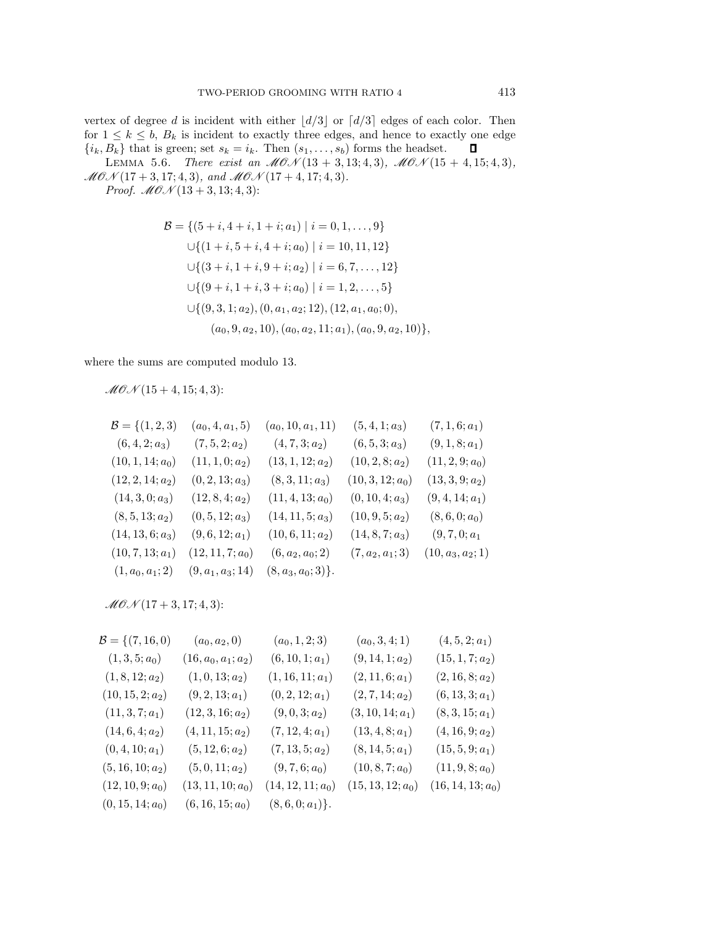vertex of degree d is incident with either  $\lfloor d/3 \rfloor$  or  $\lceil d/3 \rceil$  edges of each color. Then for  $1 \le k \le b$ ,  $B_k$  is incident to exactly three edges, and hence to exactly one edge  $\{i_k, B_k\}$  that is green; set  $s_k = i_k$ . Then  $(s_1, \ldots, s_b)$  forms the headset.  $\Box$  ${i_k, B_k}$  that is green; set  $s_k = i_k$ . Then  $(s_1, \ldots, s_b)$  forms the headset.

LEMMA 5.6. There exist an  $MON(13 + 3, 13; 4, 3), MON(15 + 4, 15; 4, 3),$  $MOM(17+3, 17; 4, 3),$  and  $MOM(17+4, 17; 4, 3).$ 

*Proof.*  $M\mathcal{O} \mathcal{N}(13 + 3, 13; 4, 3)$ :

$$
\mathcal{B} = \{ (5+i, 4+i, 1+i; a_1) \mid i = 0, 1, ..., 9 \}
$$
  
\n
$$
\cup \{ (1+i, 5+i, 4+i; a_0) \mid i = 10, 11, 12 \}
$$
  
\n
$$
\cup \{ (3+i, 1+i, 9+i; a_2) \mid i = 6, 7, ..., 12 \}
$$
  
\n
$$
\cup \{ (9+i, 1+i, 3+i; a_0) \mid i = 1, 2, ..., 5 \}
$$
  
\n
$$
\cup \{ (9, 3, 1; a_2), (0, a_1, a_2; 12), (12, a_1, a_0; 0),
$$
  
\n
$$
(a_0, 9, a_2, 10), (a_0, a_2, 11; a_1), (a_0, 9, a_2, 10) \},
$$

where the sums are computed modulo 13.

 $MOM(15 + 4, 15; 4, 3)$ :

$$
\mathcal{B} = \{(1, 2, 3) \quad (a_0, 4, a_1, 5) \quad (a_0, 10, a_1, 11) \quad (5, 4, 1; a_3) \quad (7, 1, 6; a_1) \n(6, 4, 2; a_3) \quad (7, 5, 2; a_2) \quad (4, 7, 3; a_2) \quad (6, 5, 3; a_3) \quad (9, 1, 8; a_1) \n(10, 1, 14; a_0) \quad (11, 1, 0; a_2) \quad (13, 1, 12; a_2) \quad (10, 2, 8; a_2) \quad (11, 2, 9; a_0) \n(12, 2, 14; a_2) \quad (0, 2, 13; a_3) \quad (8, 3, 11; a_3) \quad (10, 3, 12; a_0) \quad (13, 3, 9; a_2) \n(14, 3, 0; a_3) \quad (12, 8, 4; a_2) \quad (11, 4, 13; a_0) \quad (0, 10, 4; a_3) \quad (9, 4, 14; a_1) \n(8, 5, 13; a_2) \quad (0, 5, 12; a_3) \quad (14, 11, 5; a_3) \quad (10, 9, 5; a_2) \quad (8, 6, 0; a_0) \n(14, 13, 6; a_3) \quad (9, 6, 12; a_1) \quad (10, 6, 11; a_2) \quad (14, 8, 7; a_3) \quad (9, 7, 0; a_1 \n(10, 7, 13; a_1) \quad (12, 11, 7; a_0) \quad (6, a_2, a_0; 2) \quad (7, a_2, a_1; 3) \quad (10, a_3, a_2; 1) \n(1, a_0, a_1; 2) \quad (9, a_1, a_3; 14) \quad (8, a_3, a_0; 3)\}.
$$

 $MOM(17 + 3, 17; 4, 3)$ :

| $\mathcal{B} = \{(7, 16, 0)\}$ | $(a_0, a_2, 0)$       | $(a_0, 1, 2; 3)$    | $(a_0, 3, 4; 1)$    | $(4, 5, 2; a_1)$    |
|--------------------------------|-----------------------|---------------------|---------------------|---------------------|
| $(1,3,5;a_0)$                  | $(16, a_0, a_1; a_2)$ | $(6, 10, 1; a_1)$   | $(9, 14, 1; a_2)$   | $(15, 1, 7; a_2)$   |
| $(1, 8, 12; a_2)$              | $(1,0,13;a_2)$        | $(1, 16, 11; a_1)$  | $(2, 11, 6; a_1)$   | $(2, 16, 8; a_2)$   |
| $(10, 15, 2; a_2)$             | $(9, 2, 13; a_1)$     | $(0, 2, 12; a_1)$   | $(2, 7, 14; a_2)$   | $(6, 13, 3; a_1)$   |
| $(11, 3, 7; a_1)$              | $(12,3,16;a_2)$       | $(9,0,3;a_2)$       | $(3, 10, 14; a_1)$  | $(8,3,15; a_1)$     |
| $(14, 6, 4; a_2)$              | $(4, 11, 15; a_2)$    | $(7, 12, 4; a_1)$   | $(13, 4, 8; a_1)$   | $(4, 16, 9; a_2)$   |
| $(0, 4, 10; a_1)$              | $(5, 12, 6; a_2)$     | $(7, 13, 5; a_2)$   | $(8, 14, 5; a_1)$   | $(15, 5, 9; a_1)$   |
| $(5, 16, 10; a_2)$             | $(5,0,11; a_2)$       | $(9, 7, 6; a_0)$    | $(10, 8, 7; a_0)$   | $(11, 9, 8; a_0)$   |
| $(12, 10, 9; a_0)$             | $(13, 11, 10; a_0)$   | $(14, 12, 11; a_0)$ | $(15, 13, 12; a_0)$ | $(16, 14, 13; a_0)$ |
| $(0, 15, 14; a_0)$             | $(6, 16, 15; a_0)$    | $(8,6,0;a_1)\}.$    |                     |                     |
|                                |                       |                     |                     |                     |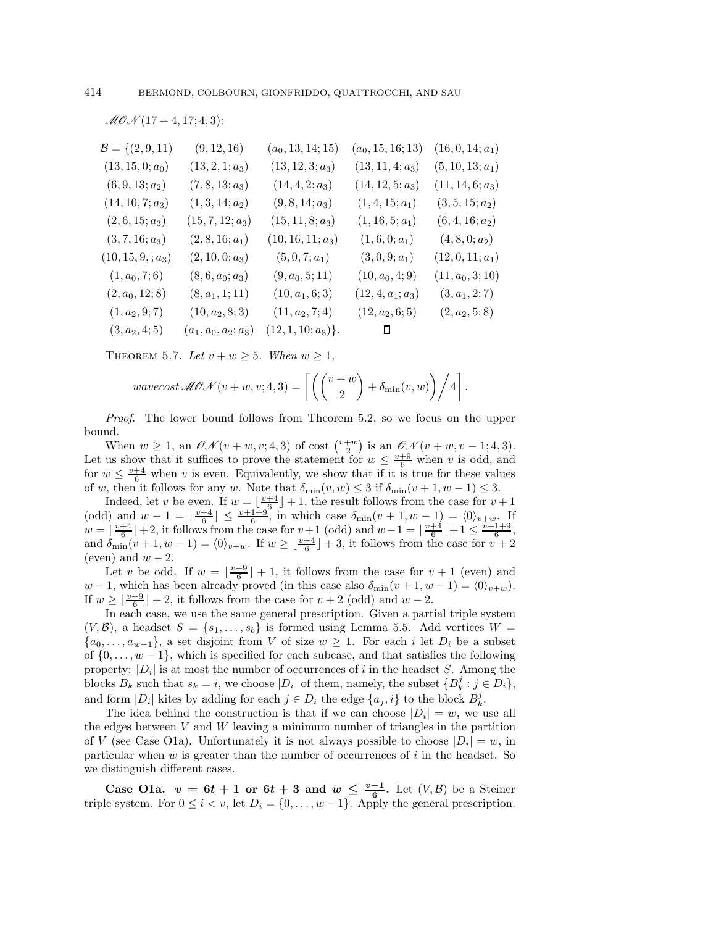$$
\mathcal{MOM}(17+4, 17; 4, 3)
$$
:

| $\mathcal{B} = \{(2, 9, 11)$ | (9, 12, 16)            | $(a_0, 13, 14; 15)$  | $(a_0, 15, 16; 13)$ | $(16, 0, 14; a_1)$ |
|------------------------------|------------------------|----------------------|---------------------|--------------------|
| $(13, 15, 0; a_0)$           | $(13, 2, 1; a_3)$      | $(13, 12, 3; a_3)$   | $(13, 11, 4; a_3)$  | $(5, 10, 13; a_1)$ |
| $(6, 9, 13; a_2)$            | $(7, 8, 13; a_3)$      | $(14, 4, 2; a_3)$    | $(14, 12, 5; a_3)$  | $(11, 14, 6; a_3)$ |
| $(14, 10, 7; a_3)$           | $(1,3,14;a_2)$         | $(9, 8, 14; a_3)$    | $(1,4,15;a_1)$      | $(3, 5, 15; a_2)$  |
| $(2,6,15; a_3)$              | $(15, 7, 12; a_3)$     | $(15, 11, 8; a_3)$   | $(1, 16, 5; a_1)$   | $(6, 4, 16; a_2)$  |
| $(3, 7, 16; a_3)$            | $(2, 8, 16; a_1)$      | $(10, 16, 11; a_3)$  | $(1,6,0;a_1)$       | $(4, 8, 0; a_2)$   |
| $(10, 15, 9, ; a_3)$         | $(2, 10, 0; a_3)$      | $(5,0,7;a_1)$        | $(3,0,9; a_1)$      | $(12, 0, 11; a_1)$ |
| $(1, a_0, 7; 6)$             | $(8, 6, a_0; a_3)$     | $(9, a_0, 5; 11)$    | $(10, a_0, 4; 9)$   | $(11, a_0, 3; 10)$ |
| $(2, a_0, 12; 8)$            | $(8, a_1, 1; 11)$      | $(10, a_1, 6; 3)$    | $(12, 4, a_1; a_3)$ | $(3, a_1, 2; 7)$   |
| $(1, a_2, 9; 7)$             | $(10, a_2, 8; 3)$      | $(11, a_2, 7; 4)$    | $(12, a_2, 6; 5)$   | $(2, a_2, 5; 8)$   |
| $(3, a_2, 4; 5)$             | $(a_1, a_0, a_2; a_3)$ | $(12, 1, 10; a_3)$ . | Ц                   |                    |
|                              |                        |                      |                     |                    |

THEOREM 5.7. Let  $v + w \geq 5$ . When  $w \geq 1$ ,

$$
wavecost\,\mathscr{MOM}(v+w,v;4,3) = \left\lceil \left( \binom{v+w}{2} + \delta_{\min}(v,w) \right) \bigg/4 \right\rceil.
$$

Proof. The lower bound follows from Theorem 5.2, so we focus on the upper bound.

When  $w \geq 1$ , an  $\mathcal{ON}(v+w,v;4,3)$  of cost  $\binom{v+w}{2}$  is an  $\mathcal{ON}(v+w,v-1;4,3)$ . Let us show that it suffices to prove the statement for  $w \leq \frac{v+9}{6}$  when v is odd, and for  $w \leq \frac{v+4}{6}$  when v is even. Equivalently, we show that if it is true for these values of w, then it follows for any w. Note that  $\delta_{\min}(v, w) \leq 3$  if  $\delta_{\min}(v + 1, w - 1) \leq 3$ .

Indeed, let v be even. If  $w = \lfloor \frac{v+4}{6} \rfloor + 1$ , the result follows from the case for  $v + 1$ (odd) and  $w-1 = \lfloor \frac{v+4}{6} \rfloor \le \frac{v+1+9}{6}$ , in which case  $\delta_{\min}(v+1, w-1) = \langle 0 \rangle_{v+w}$ . If  $w = \lfloor \frac{v+4}{6} \rfloor + 2$ , it follows from the case for  $v+1$  (odd) and  $w-1 = \lfloor \frac{v+4}{6} \rfloor +1 \leq \frac{v+1+9}{6}$ , and  $\delta_{\min}(v+1, w-1) = \langle 0 \rangle_{v+w}$ . If  $w \geq \lfloor \frac{v+4}{6} \rfloor + 3$ , it follows from the case for  $v+2$ (even) and  $w - 2$ .

Let v be odd. If  $w = \lfloor \frac{v+9}{6} \rfloor + 1$ , it follows from the case for  $v + 1$  (even) and  $w - 1$ , which has been already proved (in this case also  $\delta_{\min}(v + 1, w - 1) = \langle 0 \rangle_{v+w}$ ). If  $w \geq \lfloor \frac{v+9}{6} \rfloor + 2$ , it follows from the case for  $v + 2$  (odd) and  $w - 2$ .

In each case, we use the same general prescription. Given a partial triple system  $(V, \mathcal{B})$ , a headset  $S = \{s_1, \ldots, s_b\}$  is formed using Lemma 5.5. Add vertices  $W =$  $\{a_0,\ldots,a_{w-1}\},$  a set disjoint from V of size  $w \geq 1$ . For each i let  $D_i$  be a subset of  $\{0,\ldots,w-1\}$ , which is specified for each subcase, and that satisfies the following property:  $|D_i|$  is at most the number of occurrences of i in the headset S. Among the blocks  $B_k$  such that  $s_k = i$ , we choose  $|D_i|$  of them, namely, the subset  $\{B_k^j : j \in D_i\}$ , and form  $|D_i|$  kites by adding for each  $j \in D_i$  the edge  $\{a_j, i\}$  to the block  $B_k^j$ .

The idea behind the construction is that if we can choose  $|D_i| = w$ , we use all the edges between  $V$  and  $W$  leaving a minimum number of triangles in the partition of V (see Case O1a). Unfortunately it is not always possible to choose  $|D_i| = w$ , in particular when  $w$  is greater than the number of occurrences of  $i$  in the headset. So we distinguish different cases.

Case O1a.  $v = 6t + 1$  or  $6t + 3$  and  $w \leq \frac{v-1}{6}$ . Let  $(V, \mathcal{B})$  be a Steiner triple system. For  $0 \le i < v$ , let  $D_i = \{0, \ldots, w-1\}$ . Apply the general prescription.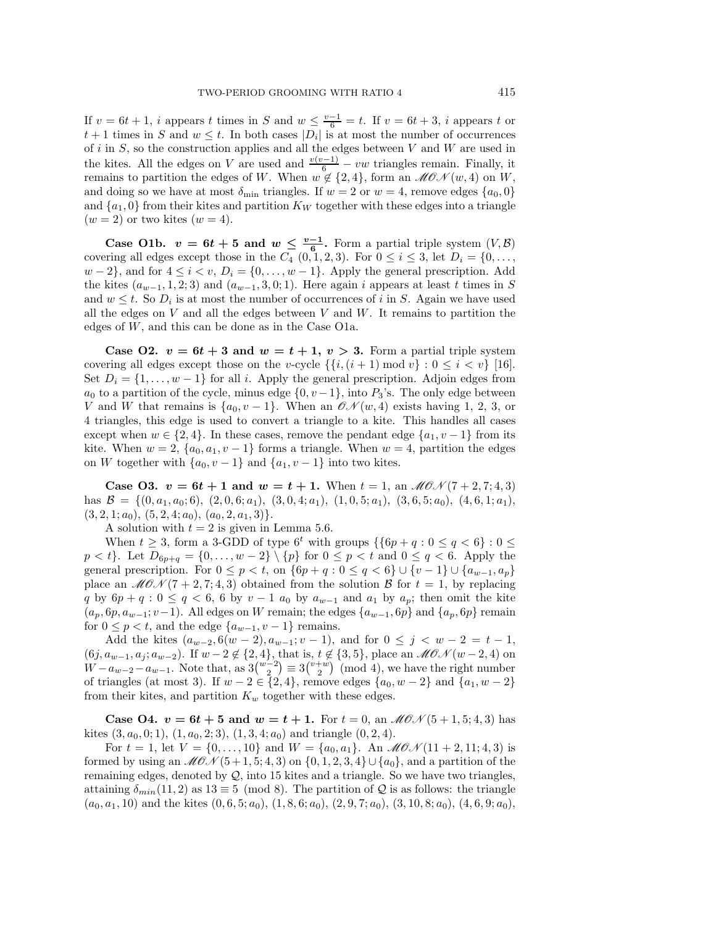If  $v = 6t + 1$ , i appears t times in S and  $w \leq \frac{v-1}{6} = t$ . If  $v = 6t + 3$ , i appears t or  $t + 1$  times in S and  $w \leq t$ . In both cases  $|D_i|$  is at most the number of occurrences of i in  $S$ , so the construction applies and all the edges between  $V$  and  $W$  are used in the kites. All the edges on V are used and  $\frac{v(v-1)}{6} - vw$  triangles remain. Finally, it remains to partition the edges of W. When  $w \notin \{2,4\}$ , form an  $\mathcal{MOM}(w, 4)$  on W, and doing so we have at most  $\delta_{\min}$  triangles. If  $w = 2$  or  $w = 4$ , remove edges  $\{a_0, 0\}$ and  $\{a_1, 0\}$  from their kites and partition  $K_W$  together with these edges into a triangle  $(w = 2)$  or two kites  $(w = 4)$ .

Case O1b.  $v = 6t + 5$  and  $w \leq \frac{v-1}{6}$ . Form a partial triple system  $(V, \mathcal{B})$ covering all edges except those in the  $C_4$   $(0, 1, 2, 3)$ . For  $0 \le i \le 3$ , let  $D_i = \{0, \ldots,$  $w-2$ , and for  $4 \leq i < v$ ,  $D_i = \{0, \ldots, w-1\}$ . Apply the general prescription. Add the kites  $(a_{w-1}, 1, 2; 3)$  and  $(a_{w-1}, 3, 0; 1)$ . Here again i appears at least t times in S and  $w \leq t$ . So  $D_i$  is at most the number of occurrences of i in S. Again we have used all the edges on  $V$  and all the edges between  $V$  and  $W$ . It remains to partition the edges of W, and this can be done as in the Case O1a.

Case O2.  $v = 6t + 3$  and  $w = t + 1$ ,  $v > 3$ . Form a partial triple system covering all edges except those on the v-cycle  $\{\{i,(i+1) \mod v\} : 0 \leq i \leq v\}$  [16]. Set  $D_i = \{1, \ldots, w-1\}$  for all i. Apply the general prescription. Adjoin edges from  $a_0$  to a partition of the cycle, minus edge  $\{0, v-1\}$ , into  $P_3$ 's. The only edge between V and W that remains is  $\{a_0, v-1\}$ . When an  $\mathcal{ON}(w, 4)$  exists having 1, 2, 3, or 4 triangles, this edge is used to convert a triangle to a kite. This handles all cases except when  $w \in \{2, 4\}$ . In these cases, remove the pendant edge  $\{a_1, v-1\}$  from its kite. When  $w = 2$ ,  $\{a_0, a_1, v - 1\}$  forms a triangle. When  $w = 4$ , partition the edges on W together with  $\{a_0, v-1\}$  and  $\{a_1, v-1\}$  into two kites.

**Case O3.**  $v = 6t + 1$  and  $w = t + 1$ . When  $t = 1$ , an  $M\mathcal{O}(\mathcal{N}(7 + 2, 7; 4, 3))$ has  $\mathcal{B} = \{(0, a_1, a_0; 6), (2, 0, 6; a_1), (3, 0, 4; a_1), (1, 0, 5; a_1), (3, 6, 5; a_0), (4, 6, 1; a_1),$  $(3, 2, 1; a_0), (5, 2, 4; a_0), (a_0, 2, a_1, 3).$ 

A solution with  $t = 2$  is given in Lemma 5.6.

When  $t \geq 3$ , form a 3-GDD of type  $6^t$  with groups  $\{\{6p + q : 0 \leq q < 6\} : 0 \leq$  $p < t$ . Let  $D_{6p+q} = \{0, ..., w-2\} \setminus \{p\}$  for  $0 \leq p < t$  and  $0 \leq q < 6$ . Apply the general prescription. For  $0 \leq p < t$ , on  $\{6p+q : 0 \leq q < 6\} \cup \{v-1\} \cup \{a_{w-1}, a_p\}$ place an  $M\mathcal{O}(\mathcal{N}(7+2,7;4,3))$  obtained from the solution  $\mathcal{B}$  for  $t=1$ , by replacing q by  $6p + q : 0 \le q < 6$ , 6 by  $v - 1$  a<sub>0</sub> by  $a_{w-1}$  and  $a_1$  by  $a_p$ ; then omit the kite  $(a_p, 6p, a_{w-1}; v-1)$ . All edges on W remain; the edges  $\{a_{w-1}, 6p\}$  and  $\{a_p, 6p\}$  remain for  $0 \leq p < t$ , and the edge  $\{a_{w-1}, v-1\}$  remains.

Add the kites  $(a_{w-2}, 6(w-2), a_{w-1}; v-1)$ , and for  $0 \le j < w-2 = t-1$ ,  $(6j, a_{w-1}, a_j, a_{w-2})$ . If  $w-2 \notin \{2,4\}$ , that is,  $t \notin \{3,5\}$ , place an  $\mathscr{M}(\mathscr{N}(w-2,4))$  on  $W - a_{w-2} - a_{w-1}$ . Note that, as  $3\binom{w-2}{2} \equiv 3\binom{v+w}{2} \pmod{4}$ , we have the right number of triangles (at most 3). If  $w - 2 \in \{2, 4\}$ , remove edges  $\{a_0, w - 2\}$  and  $\{a_1, w - 2\}$ from their kites, and partition  $K_w$  together with these edges.

**Case 04.**  $v = 6t + 5$  and  $w = t + 1$ . For  $t = 0$ , an  $M\mathcal{O}_{N}(5 + 1, 5; 4, 3)$  has kites  $(3, a_0, 0; 1), (1, a_0, 2; 3), (1, 3, 4; a_0)$  and triangle  $(0, 2, 4)$ .

For  $t = 1$ , let  $V = \{0, ..., 10\}$  and  $W = \{a_0, a_1\}$ . An  $\mathcal{MON}(11 + 2, 11; 4, 3)$  is formed by using an  $MON(5+1, 5; 4, 3)$  on  $\{0, 1, 2, 3, 4\} \cup \{a_0\}$ , and a partition of the remaining edges, denoted by  $Q$ , into 15 kites and a triangle. So we have two triangles, attaining  $\delta_{min}(11, 2)$  as  $13 \equiv 5 \pmod{8}$ . The partition of Q is as follows: the triangle  $(a_0, a_1, 10)$  and the kites  $(0, 6, 5, a_0)$ ,  $(1, 8, 6, a_0)$ ,  $(2, 9, 7, a_0)$ ,  $(3, 10, 8, a_0)$ ,  $(4, 6, 9, a_0)$ ,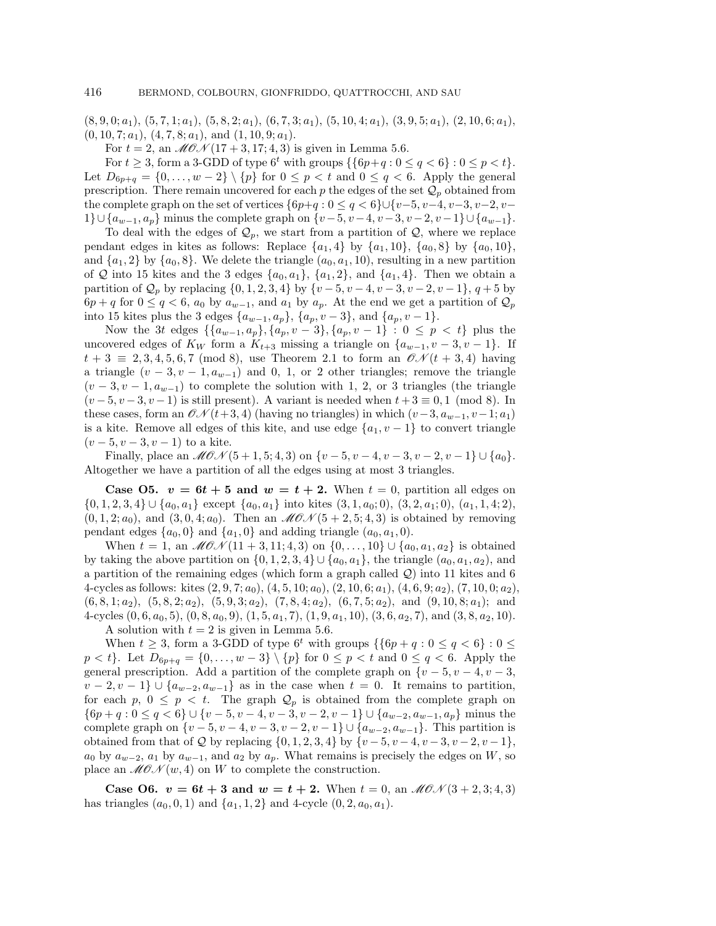$(8, 9, 0; a_1), (5, 7, 1; a_1), (5, 8, 2; a_1), (6, 7, 3; a_1), (5, 10, 4; a_1), (3, 9, 5; a_1), (2, 10, 6; a_1),$  $(0, 10, 7; a_1), (4, 7, 8; a_1), \text{ and } (1, 10, 9; a_1).$ 

For  $t = 2$ , an  $\mathcal{M} \mathcal{O} \mathcal{N} (17 + 3, 17; 4, 3)$  is given in Lemma 5.6.

For  $t \geq 3$ , form a 3-GDD of type  $6^t$  with groups  $\{\{6p+q : 0 \leq q < 6\} : 0 \leq p < t\}.$ Let  $D_{6p+q} = \{0, \ldots, w-2\} \setminus \{p\}$  for  $0 \leq p < t$  and  $0 \leq q < 6$ . Apply the general prescription. There remain uncovered for each p the edges of the set  $\mathcal{Q}_p$  obtained from the complete graph on the set of vertices  $\{6p+q : 0 \le q < 6\} \cup \{v-5, v-4, v-3, v-2, v-2, w-1\}$ 1}∪{ $a_{w-1}, a_p$ } minus the complete graph on  $\{v-5, v-4, v-3, v-2, v-1\}\cup\{a_{w-1}\}.$ 

To deal with the edges of  $\mathcal{Q}_p$ , we start from a partition of  $\mathcal{Q}$ , where we replace pendant edges in kites as follows: Replace  $\{a_1, 4\}$  by  $\{a_1, 10\}$ ,  $\{a_0, 8\}$  by  $\{a_0, 10\}$ , and  $\{a_1, 2\}$  by  $\{a_0, 8\}$ . We delete the triangle  $(a_0, a_1, 10)$ , resulting in a new partition of Q into 15 kites and the 3 edges  $\{a_0, a_1\}$ ,  $\{a_1, 2\}$ , and  $\{a_1, 4\}$ . Then we obtain a partition of  $\mathcal{Q}_p$  by replacing  $\{0, 1, 2, 3, 4\}$  by  $\{v - 5, v - 4, v - 3, v - 2, v - 1\}, q + 5$  by  $6p + q$  for  $0 \le q < 6$ ,  $a_0$  by  $a_{w-1}$ , and  $a_1$  by  $a_p$ . At the end we get a partition of  $\mathcal{Q}_p$ into 15 kites plus the 3 edges  $\{a_{w-1}, a_p\}$ ,  $\{a_p, v-3\}$ , and  $\{a_p, v-1\}$ .

Now the 3t edges  $\{\{a_{w-1}, a_p\}, \{a_p, v-3\}, \{a_p, v-1\} : 0 \leq p \leq t\}$  plus the uncovered edges of  $K_W$  form a  $K_{t+3}$  missing a triangle on  $\{a_{w-1}, v-3, v-1\}$ . If  $t + 3 \equiv 2, 3, 4, 5, 6, 7 \pmod{8}$ , use Theorem 2.1 to form an  $\mathcal{O}N(t + 3, 4)$  having a triangle  $(v-3, v-1, a_{w-1})$  and 0, 1, or 2 other triangles; remove the triangle  $(v-3, v-1, a_{w-1})$  to complete the solution with 1, 2, or 3 triangles (the triangle  $(v-5, v-3, v-1)$  is still present). A variant is needed when  $t+3 \equiv 0, 1 \pmod{8}$ . In these cases, form an  $\mathcal{ON}(t+3, 4)$  (having no triangles) in which  $(v-3, a_{w-1}, v-1; a_1)$ is a kite. Remove all edges of this kite, and use edge  $\{a_1, v-1\}$  to convert triangle  $(v-5, v-3, v-1)$  to a kite.

Finally, place an  $\mathcal{M}(\mathcal{O}(\mathcal{O}(\mathcal{O}+1, 5; 4, 3))$  on  $\{v - 5, v - 4, v - 3, v - 2, v - 1\} \cup \{a_0\}.$ Altogether we have a partition of all the edges using at most 3 triangles.

**Case O5.**  $v = 6t + 5$  and  $w = t + 2$ . When  $t = 0$ , partition all edges on  $\{0, 1, 2, 3, 4\} \cup \{a_0, a_1\}$  except  $\{a_0, a_1\}$  into kites  $(3, 1, a_0; 0), (3, 2, a_1; 0), (a_1, 1, 4; 2),$  $(0, 1, 2; a_0)$ , and  $(3, 0, 4; a_0)$ . Then an  $\mathcal{M}(\mathcal{O}, \mathcal{O})$  is obtained by removing pendant edges  $\{a_0, 0\}$  and  $\{a_1, 0\}$  and adding triangle  $(a_0, a_1, 0)$ .

When  $t = 1$ , an  $\mathscr{M}(\mathscr{O}\mathscr{N}(11 + 3, 11; 4, 3))$  on  $\{0, \ldots, 10\} \cup \{a_0, a_1, a_2\}$  is obtained by taking the above partition on  $\{0, 1, 2, 3, 4\} \cup \{a_0, a_1\}$ , the triangle  $(a_0, a_1, a_2)$ , and a partition of the remaining edges (which form a graph called Q) into 11 kites and 6 4-cycles as follows: kites  $(2, 9, 7; a_0)$ ,  $(4, 5, 10; a_0)$ ,  $(2, 10, 6; a_1)$ ,  $(4, 6, 9; a_2)$ ,  $(7, 10, 0; a_2)$ ,  $(6, 8, 1; a_2), (5, 8, 2; a_2), (5, 9, 3; a_2), (7, 8, 4; a_2), (6, 7, 5; a_2), \text{ and } (9, 10, 8; a_1); \text{ and }$ 4-cycles  $(0, 6, a_0, 5), (0, 8, a_0, 9), (1, 5, a_1, 7), (1, 9, a_1, 10), (3, 6, a_2, 7),$  and  $(3, 8, a_2, 10).$ 

A solution with  $t = 2$  is given in Lemma 5.6. When  $t \geq 3$ , form a 3-GDD of type  $6^t$  with groups  $\{\{6p + q : 0 \leq q < 6\} : 0 \leq$ 

 $p < t$ . Let  $D_{6p+q} = \{0, \ldots, w-3\} \setminus \{p\}$  for  $0 \leq p < t$  and  $0 \leq q < 6$ . Apply the general prescription. Add a partition of the complete graph on {v − 5, v − 4, v − 3,  $v-2, v-1\} \cup \{a_{w-2}, a_{w-1}\}\$ as in the case when  $t = 0$ . It remains to partition, for each p,  $0 \leq p \leq t$ . The graph  $\mathcal{Q}_p$  is obtained from the complete graph on  $\{6p+q: 0 \leq q < 6\} \cup \{v-5, v-4, v-3, v-2, v-1\} \cup \{a_{w-2}, a_{w-1}, a_p\}$  minus the complete graph on  $\{v-5, v-4, v-3, v-2, v-1\} \cup \{a_{w-2}, a_{w-1}\}.$  This partition is obtained from that of  $Q$  by replacing  $\{0, 1, 2, 3, 4\}$  by  $\{v - 5, v - 4, v - 3, v - 2, v - 1\}$ ,  $a_0$  by  $a_{w-2}$ ,  $a_1$  by  $a_{w-1}$ , and  $a_2$  by  $a_p$ . What remains is precisely the edges on W, so place an  $M\mathcal{O}(\mathcal{N}(w, 4))$  on W to complete the construction.

**Case O6.**  $v = 6t + 3$  and  $w = t + 2$ . When  $t = 0$ , an  $\mathcal{M}(\mathcal{O}(\mathcal{N}(3 + 2, 3; 4, 3)))$ has triangles  $(a_0, 0, 1)$  and  $\{a_1, 1, 2\}$  and 4-cycle  $(0, 2, a_0, a_1)$ .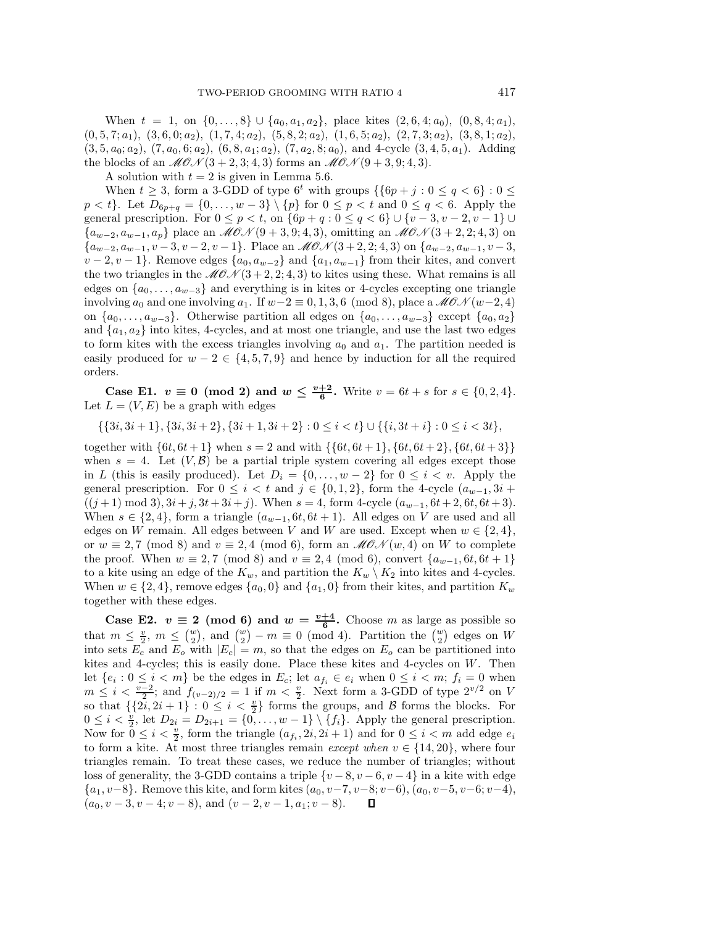When  $t = 1$ , on  $\{0, \ldots, 8\} \cup \{a_0, a_1, a_2\}$ , place kites  $(2, 6, 4; a_0), (0, 8, 4; a_1)$ ,  $(0, 5, 7; a_1), (3, 6, 0; a_2), (1, 7, 4; a_2), (5, 8, 2; a_2), (1, 6, 5; a_2), (2, 7, 3; a_2), (3, 8, 1; a_2),$  $(3, 5, a_0; a_2), (7, a_0, 6; a_2), (6, 8, a_1; a_2), (7, a_2, 8; a_0),$  and 4-cycle  $(3, 4, 5, a_1)$ . Adding the blocks of an  $\mathcal{M}(\mathcal{O})$  + 2, 3; 4, 3) forms an  $\mathcal{M}(\mathcal{O})$  + 3, 9; 4, 3).

A solution with  $t = 2$  is given in Lemma 5.6.

When  $t \geq 3$ , form a 3-GDD of type  $6^t$  with groups  $\{\{6p + j : 0 \leq q < 6\} : 0 \leq$  $p < t$ . Let  $D_{6p+q} = \{0, \ldots, w-3\} \setminus \{p\}$  for  $0 \leq p < t$  and  $0 \leq q < 6$ . Apply the general prescription. For  $0 \le p < t$ , on  $\{6p + q : 0 \le q < 6\} \cup \{v - 3, v - 2, v - 1\} \cup$  ${a_{w-2}, a_{w-1}, a_p}$  place an  $\mathcal{M}(\mathcal{O}(\mathcal{O}+3, 9; 4, 3))$ , omitting an  $\mathcal{M}(\mathcal{O}(\mathcal{O}+2, 2; 4, 3))$  on  ${a_{w-2}, a_{w-1}, v-3, v-2, v-1}.$  Place an  $\mathcal{MON}(3+2, 2; 4, 3)$  on  ${a_{w-2}, a_{w-1}, v-3, w-1}.$  $v-2, v-1$ . Remove edges  $\{a_0, a_{w-2}\}\$  and  $\{a_1, a_{w-1}\}\$  from their kites, and convert the two triangles in the  $MON(3+2, 2; 4, 3)$  to kites using these. What remains is all edges on  $\{a_0,\ldots,a_{w-3}\}\$  and everything is in kites or 4-cycles excepting one triangle involving  $a_0$  and one involving  $a_1$ . If  $w-2 \equiv 0, 1, 3, 6 \pmod{8}$ , place a  $\mathcal{MON}(w-2, 4)$ on  $\{a_0, \ldots, a_{w-3}\}\$ . Otherwise partition all edges on  $\{a_0, \ldots, a_{w-3}\}\$ except  $\{a_0, a_2\}\$ and  $\{a_1, a_2\}$  into kites, 4-cycles, and at most one triangle, and use the last two edges to form kites with the excess triangles involving  $a_0$  and  $a_1$ . The partition needed is easily produced for  $w - 2 \in \{4, 5, 7, 9\}$  and hence by induction for all the required orders.

**Case E1.**  $v \equiv 0 \pmod{2}$  and  $w \leq \frac{v+2}{6}$ . Write  $v = 6t + s$  for  $s \in \{0, 2, 4\}$ . Let  $L = (V, E)$  be a graph with edges

 $\{\{3i, 3i + 1\}, \{3i, 3i + 2\}, \{3i + 1, 3i + 2\} : 0 \le i \le t\} \cup \{\{i, 3t + i\} : 0 \le i \le 3t\},\$ 

together with  $\{6t, 6t+1\}$  when  $s = 2$  and with  $\{\{6t, 6t+1\}, \{6t, 6t+2\}, \{6t, 6t+3\}\}\$ when  $s = 4$ . Let  $(V, \mathcal{B})$  be a partial triple system covering all edges except those in L (this is easily produced). Let  $D_i = \{0, \ldots, w-2\}$  for  $0 \leq i < v$ . Apply the general prescription. For  $0 \leq i < t$  and  $j \in \{0,1,2\}$ , form the 4-cycle  $(a_{w-1}, 3i +$  $((j + 1) \mod 3), 3i + j, 3t + 3i + j).$  When  $s = 4$ , form 4-cycle  $(a_{w-1}, 6t + 2, 6t, 6t + 3).$ When  $s \in \{2, 4\}$ , form a triangle  $(a_{w-1}, 6t, 6t + 1)$ . All edges on V are used and all edges on W remain. All edges between V and W are used. Except when  $w \in \{2, 4\}$ , or  $w \equiv 2,7 \pmod{8}$  and  $v \equiv 2,4 \pmod{6}$ , form an  $\mathcal{M}(\mathcal{OM}(w, 4))$  on W to complete the proof. When  $w \equiv 2, 7 \pmod{8}$  and  $v \equiv 2, 4 \pmod{6}$ , convert  $\{a_{w-1}, 6t, 6t + 1\}$ to a kite using an edge of the  $K_w$ , and partition the  $K_w \setminus K_2$  into kites and 4-cycles. When  $w \in \{2, 4\}$ , remove edges  $\{a_0, 0\}$  and  $\{a_1, 0\}$  from their kites, and partition  $K_w$ together with these edges.

**Case E2.**  $v \equiv 2 \pmod{6}$  and  $w = \frac{v+4}{6}$ . Choose m as large as possible so that  $m \leq \frac{v}{2}$ ,  $m \leq {v \choose 2}$ , and  ${w \choose 2} - m \equiv 0 \pmod{4}$ . Partition the  ${w \choose 2}$  edges on W into sets  $E_c$  and  $E_o$  with  $|E_c| = m$ , so that the edges on  $E_o$  can be partitioned into kites and 4-cycles; this is easily done. Place these kites and 4-cycles on W. Then let  $\{e_i : 0 \le i < m\}$  be the edges in  $E_c$ ; let  $a_{f_i} \in e_i$  when  $0 \le i < m$ ;  $f_i = 0$  when  $m \leq i < \frac{v-2}{2}$ ; and  $f_{(v-2)/2} = 1$  if  $m < \frac{v}{2}$ . Next form a 3-GDD of type  $2^{v/2}$  on V so that  $\{\{2i, 2i + 1\} : 0 \leq i < \frac{v}{2}\}\)$  forms the groups, and B forms the blocks. For  $0 \leq i < \frac{v}{2}$ , let  $D_{2i} = D_{2i+1} = \{0, \ldots, w-1\} \setminus \{f_i\}$ . Apply the general prescription. Now for  $0 \leq i < \frac{v}{2}$ , form the triangle  $(a_{f_i}, 2i, 2i + 1)$  and for  $0 \leq i < m$  add edge  $e_i$ to form a kite. At most three triangles remain *except when*  $v \in \{14, 20\}$ , where four triangles remain. To treat these cases, we reduce the number of triangles; without loss of generality, the 3-GDD contains a triple  $\{v-8, v-6, v-4\}$  in a kite with edge  $\{a_1, v-8\}$ . Remove this kite, and form kites  $(a_0, v-7, v-8; v-6)$ ,  $(a_0, v-5, v-6; v-4)$ ,  $(a_0, v-3, v-4; v-8)$ , and  $(v-2, v-1, a_1; v-8)$ .  $(a_0, v - 3, v - 4; v - 8)$ , and  $(v - 2, v - 1, a_1; v - 8)$ .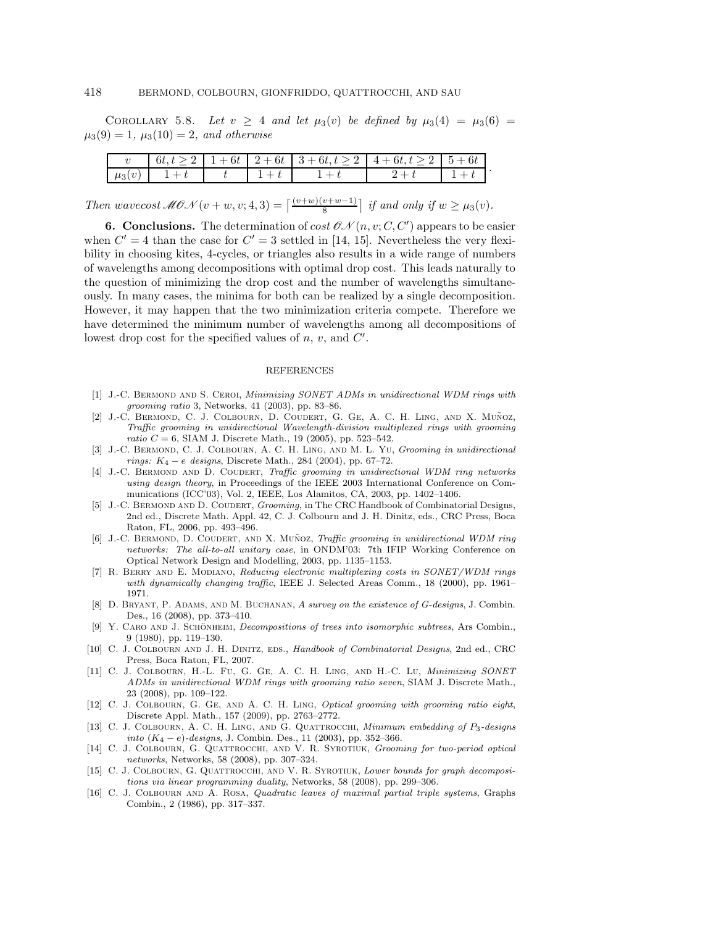COROLLARY 5.8. Let  $v \geq 4$  and let  $\mu_3(v)$  be defined by  $\mu_3(4) = \mu_3(6) =$  $\mu_3(9) = 1, \mu_3(10) = 2, \text{ and otherwise}$ 

|            |  |  | $6t, t \ge 2$   1+6t   2+6t   3+6t, $t \ge 2$   4+6t, $t \ge 2$   5+6t |  |
|------------|--|--|------------------------------------------------------------------------|--|
| $\mu_2(v)$ |  |  |                                                                        |  |

Then wavecost  $\mathscr{M}(\mathscr{U}) + w, v; 4, 3) = \left\lceil \frac{(v+w)(v+w-1)}{8} \right\rceil$  if and only if  $w \geq \mu_3(v)$ .

**6. Conclusions.** The determination of cost  $\mathcal{ON}(n, v; C, C')$  appears to be easier when  $C' = 4$  than the case for  $C' = 3$  settled in [14, 15]. Nevertheless the very flexibility in choosing kites, 4-cycles, or triangles also results in a wide range of numbers of wavelengths among decompositions with optimal drop cost. This leads naturally to the question of minimizing the drop cost and the number of wavelengths simultaneously. In many cases, the minima for both can be realized by a single decomposition. However, it may happen that the two minimization criteria compete. Therefore we have determined the minimum number of wavelengths among all decompositions of lowest drop cost for the specified values of  $n, v$ , and  $C'$ .

#### REFERENCES

- [1] J.-C. BERMOND AND S. CEROI, Minimizing SONET ADMs in unidirectional WDM rings with grooming ratio 3, Networks, 41 (2003), pp. 83–86.
- [2] J.-C. BERMOND, C. J. COLBOURN, D. COUDERT, G. GE, A. C. H. LING, AND X. MUÑOZ, Traffic grooming in unidirectional Wavelength-division multiplexed rings with grooming ratio  $C = 6$ , SIAM J. Discrete Math., 19 (2005), pp. 523-542.
- [3] J.-C. BERMOND, C. J. COLBOURN, A. C. H. LING, AND M. L. YU, Grooming in unidirectional  $rings: K_4 - e$  designs, Discrete Math., 284 (2004), pp. 67–72.
- [4] J.-C. BERMOND AND D. COUDERT, Traffic grooming in unidirectional WDM ring networks using design theory, in Proceedings of the IEEE 2003 International Conference on Communications (ICC'03), Vol. 2, IEEE, Los Alamitos, CA, 2003, pp. 1402–1406.
- [5] J.-C. BERMOND AND D. COUDERT, Grooming, in The CRC Handbook of Combinatorial Designs, 2nd ed., Discrete Math. Appl. 42, C. J. Colbourn and J. H. Dinitz, eds., CRC Press, Boca Raton, FL, 2006, pp. 493–496.
- [6] J.-C. BERMOND, D. COUDERT, AND X. MUÑOZ, *Traffic grooming in unidirectional WDM ring* networks: The all-to-all unitary case, in ONDM'03: 7th IFIP Working Conference on Optical Network Design and Modelling, 2003, pp. 1135–1153.
- [7] R. Berry and E. Modiano, Reducing electronic multiplexing costs in SONET/WDM rings with dynamically changing traffic, IEEE J. Selected Areas Comm., 18 (2000), pp. 1961– 1971.
- [8] D. BRYANT, P. ADAMS, AND M. BUCHANAN, A survey on the existence of G-designs, J. Combin. Des., 16 (2008), pp. 373–410.
- [9] Y. CARO AND J. SCHÖNHEIM, *Decompositions of trees into isomorphic subtrees*, Ars Combin., 9 (1980), pp. 119–130.
- [10] C. J. COLBOURN AND J. H. DINITZ, EDS., Handbook of Combinatorial Designs, 2nd ed., CRC Press, Boca Raton, FL, 2007.
- [11] C. J. Colbourn, H.-L. Fu, G. Ge, A. C. H. Ling, and H.-C. Lu, Minimizing SONET ADMs in unidirectional WDM rings with grooming ratio seven, SIAM J. Discrete Math., 23 (2008), pp. 109–122.
- [12] C. J. COLBOURN, G. GE, AND A. C. H. LING, Optical grooming with grooming ratio eight, Discrete Appl. Math., 157 (2009), pp. 2763–2772.
- [13] C. J. COLBOURN, A. C. H. LING, AND G. QUATTROCCHI, Minimum embedding of P3-designs into (K<sup>4</sup> − e)-designs, J. Combin. Des., 11 (2003), pp. 352–366.
- [14] C. J. COLBOURN, G. QUATTROCCHI, AND V. R. SYROTIUK, Grooming for two-period optical networks, Networks, 58 (2008), pp. 307–324.
- [15] C. J. COLBOURN, G. QUATTROCCHI, AND V. R. SYROTIUK, Lower bounds for graph decompositions via linear programming duality, Networks, 58 (2008), pp. 299–306.
- [16] C. J. Colbourn and A. Rosa, Quadratic leaves of maximal partial triple systems, Graphs Combin., 2 (1986), pp. 317–337.